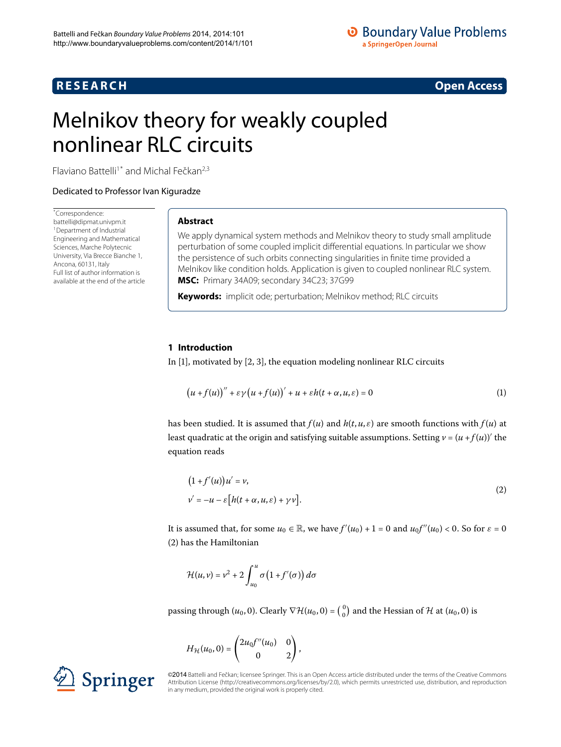## **R E S E A R C H Open Access**

<span id="page-0-2"></span>

# <span id="page-0-0"></span>Melnikov theory for weakly coupled nonlinear RLC circuits

Flaviano Battelli<sup>[1](#page-25-0)[\\*](#page-0-0)</sup> and Michal Fečkan<sup>[2](#page-25-1)[,3](#page-25-2)</sup>

Dedicated to Professor Ivan Kiguradze

\* Correspondence: [battelli@dipmat.univpm.it](mailto:battelli@dipmat.univpm.it) 1Department of Industrial Engineering and Mathematical Sciences, Marche Polytecnic University, Via Brecce Bianche 1, Ancona, 60131, Italy Full list of author information is available at the end of the article

## **Abstract**

We apply dynamical system methods and Melnikov theory to study small amplitude perturbation of some coupled implicit differential equations. In particular we show the persistence of such orbits connecting singularities in finite time provided a Melnikov like condition holds. Application is given to coupled nonlinear RLC system. **MSC:** Primary 34A09; secondary 34C23; 37G99

**Keywords:** implicit ode; perturbation; Melnikov method; RLC circuits

## **1 Introduction**

In  $[1]$  $[1]$ [,](#page-26-0) motivated by  $[2, 3]$ , the equation modeling nonlinear RLC circuits

<span id="page-0-1"></span>
$$
(u+f(u))'' + \varepsilon \gamma (u+f(u))' + u + \varepsilon h(t+\alpha,u,\varepsilon) = 0
$$
 (1)

has been studied. It is assumed that  $f(u)$  and  $h(t, u, \varepsilon)$  are smooth functions with  $f(u)$  at least quadratic at the origin and satisfying suitable assumptions. Setting  $v = (u + f(u))'$  the equation reads

$$
(1 + f'(u))u' = v,
$$
  
\n
$$
v' = -u - \varepsilon \left[ h(t + \alpha, u, \varepsilon) + \gamma v \right].
$$
\n(2)

It is assumed that, for some  $u_0 \in \mathbb{R}$ , we have  $f'(u_0) + 1 = 0$  and  $u_0 f''(u_0) < 0$ . So for  $\varepsilon = 0$  $(2)$  $(2)$  has the Hamiltonian

$$
\mathcal{H}(u,v) = v^2 + 2 \int_{u_0}^{u} \sigma(1 + f'(\sigma)) d\sigma
$$

passing through  $(u_0, 0)$ . Clearly  $\nabla \mathcal{H}(u_0, 0) = \begin{pmatrix} 0 \\ 0 \end{pmatrix}$  $_{0}^{0}$ ) and the Hessian of H at  $(u_0, 0)$  is

$$
H_{\mathcal{H}}(u_0,0) = \begin{pmatrix} 2u_0f''(u_0) & 0 \\ 0 & 2 \end{pmatrix},
$$



©2014 Battelli and Fečkan; licensee Springer. This is an Open Access article distributed under the terms of the Creative Commons Attribution License [\(http://creativecommons.org/licenses/by/2.0](http://creativecommons.org/licenses/by/2.0)), which permits unrestricted use, distribution, and reproduction in any medium, provided the original work is properly cited.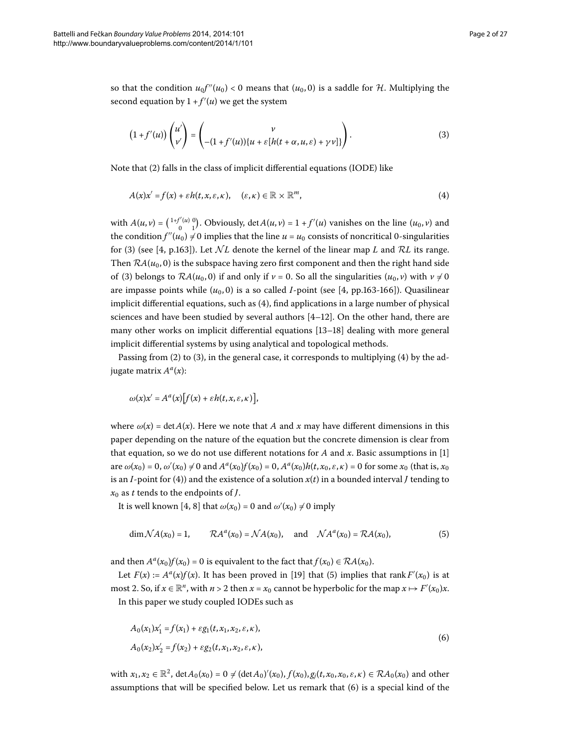so that the condition  $u_0 f''(u_0) < 0$  means that  $(u_0, 0)$  is a saddle for  $H$ . Multiplying the second equation by  $1 + f'(u)$  we get the system

<span id="page-1-1"></span><span id="page-1-0"></span>
$$
(1+f'(u))\begin{pmatrix}u'\\v'\end{pmatrix}=\begin{pmatrix}v\\-(1+f'(u))(u+\varepsilon[h(t+\alpha,u,\varepsilon)+\gamma v)]\end{pmatrix}.
$$
 (3)

Note that (2[\)](#page-0-1) falls in the class of implicit differential equations (IODE) like

$$
A(x)x' = f(x) + \varepsilon h(t, x, \varepsilon, \kappa), \quad (\varepsilon, \kappa) \in \mathbb{R} \times \mathbb{R}^m,
$$
\n(4)

with  $A(u, v) = \begin{pmatrix} 1+f'(u) & 0 \\ 0 & 1 \end{pmatrix}$  $\binom{f'(u)}{0}$ . Obviously, det $A(u, v) = 1 + f'(u)$  vanishes on the line  $(u_0, v)$  and the condition  $f''(u_0) \neq 0$  implies that the line  $u = u_0$  consists of noncritical 0-singularities for [\(](#page-1-0)3) (see [4, p.163]). Let  $\mathcal{N}L$  denote the kernel of the linear map *L* and  $\mathcal{R}L$  its range. Then  $\mathcal{R}A(u_0, 0)$  is the subspace having zero first component and then the right hand side of [\(](#page-1-0)3) belongs to  $\mathcal{R}A(u_0, 0)$  if and only if  $v = 0$ . So all the singularities  $(u_0, v)$  with  $v \neq 0$ are impasse points while  $(u_0, 0)$  is a so called *I*-point (see [4, pp.163-166]). Quasilinear implicit differential equations, such as  $(4)$ , find applications in a large number of physical sciences and have been studied by several authors  $[4–12]$  $[4–12]$  $[4–12]$  $[4–12]$ . On the other hand, there are many other works on implicit differential equations  $[13-18]$  $[13-18]$  dealing with more general implicit differential systems by using analytical and topological methods.

Passing from  $(2)$  $(2)$  to  $(3)$  $(3)$ , in the general case, it corresponds to multiplying  $(4)$  by the adjugate matrix *A<sup>a</sup>*(*x*):

<span id="page-1-2"></span>
$$
\omega(x)x' = A^a(x)[f(x) + \varepsilon h(t, x, \varepsilon, \kappa)],
$$

where  $\omega(x) = \det A(x)$ . Here we note that *A* and *x* may have different dimensions in this paper depending on the nature of the equation but the concrete dimension is clear from that equation, so we do not use different notations for *A* and *x*. Basic assumptions in []  $\alpha(x_0) = 0$ ,  $\omega'(x_0) \neq 0$  and  $A^a(x_0)f(x_0) = 0$ ,  $A^a(x_0)h(t, x_0, \varepsilon, \kappa) = 0$  for some  $x_0$  (that is,  $x_0$ is an *I*-point for (4)) and the existence of a solution  $x(t)$  in a bounded interval *J* tending to  $x_0$  as *t* tends to the endpoints of *J*.

It is well known [4, 8[\]](#page-26-6) that  $\omega(x_0) = 0$  and  $\omega'(x_0) \neq 0$  imply

<span id="page-1-3"></span>
$$
\dim \mathcal{N}A(x_0) = 1,
$$
  $\mathcal{R}A^a(x_0) = \mathcal{N}A(x_0),$  and  $\mathcal{N}A^a(x_0) = \mathcal{R}A(x_0),$  (5)

and then  $A^a(x_0)f(x_0) = 0$  is equivalent to the fact that  $f(x_0) \in \mathcal{R}A(x_0)$ .

Let  $F(x) := A^a(x)f(x)$  $F(x) := A^a(x)f(x)$  $F(x) := A^a(x)f(x)$ . It has been proved in [19] that (5) implies that rank  $F'(x_0)$  is at most 2. So, if  $x \in \mathbb{R}^n$ , with  $n > 2$  then  $x = x_0$  cannot be hyperbolic for the map  $x \mapsto F'(x_0)x$ . In this paper we study coupled IODEs such as

$$
A_0(x_1)x'_1 = f(x_1) + \varepsilon g_1(t, x_1, x_2, \varepsilon, \kappa),
$$
  
\n
$$
A_0(x_2)x'_2 = f(x_2) + \varepsilon g_2(t, x_1, x_2, \varepsilon, \kappa),
$$
\n(6)

 $x_1, x_2 \in \mathbb{R}^2$ ,  $\det A_0(x_0) = 0 \neq (\det A_0)'(x_0), f(x_0), g_j(t, x_0, x_0, \varepsilon, \kappa) \in \mathcal{R}A_0(x_0)$  and other assumptions that will be specified below. Let us remark that  $(6)$  is a special kind of the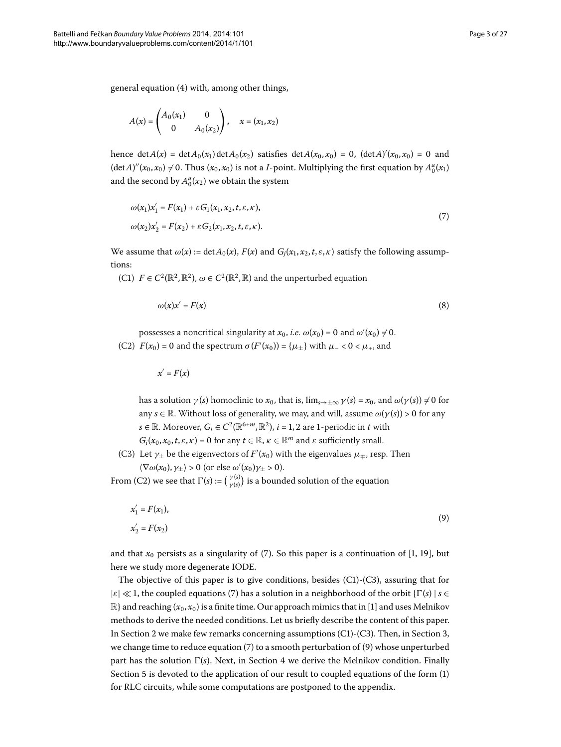general equation  $(4)$  with, among other things,

<span id="page-2-0"></span>
$$
A(x) = \begin{pmatrix} A_0(x_1) & 0 \\ 0 & A_0(x_2) \end{pmatrix}, \quad x = (x_1, x_2)
$$

hence det $A(x) = \det A_0(x_1) \det A_0(x_2)$  satisfies  $\det A(x_0, x_0) = 0$ ,  $(\det A)'(x_0, x_0) = 0$  and  $(\det A)''(x_0, x_0) \neq 0$ . Thus  $(x_0, x_0)$  is not a *I*-point. Multiplying the first equation by  $A_0^a(x_1)$ and the second by  $A_0^a(x_2)$  we obtain the system

$$
\omega(x_1)x'_1 = F(x_1) + \varepsilon G_1(x_1, x_2, t, \varepsilon, \kappa), \n\omega(x_2)x'_2 = F(x_2) + \varepsilon G_2(x_1, x_2, t, \varepsilon, \kappa).
$$
\n(7)

We assume that  $\omega(x) := \det A_0(x)$ ,  $F(x)$  and  $G_i(x_1, x_2, t, \varepsilon, \kappa)$  satisfy the following assumptions:

(C1)  $F \in C^2(\mathbb{R}^2, \mathbb{R}^2)$ ,  $\omega \in C^2(\mathbb{R}^2, \mathbb{R})$  and the unperturbed equation

<span id="page-2-2"></span>
$$
\omega(x)x' = F(x) \tag{8}
$$

possesses a noncritical singularity at  $x_0$ , *i.e.*  $\omega(x_0) = 0$  and  $\omega'(x_0) \neq 0$ . (C2)  $F(x_0) = 0$  and the spectrum  $\sigma(F'(x_0)) = {\mu_{\pm}}$  with  $\mu_{-} < 0 < \mu_{+}$ , and

<span id="page-2-1"></span> $x' = F(x)$ 

has a solution  $\gamma(s)$  homoclinic to  $x_0$ , that is,  $\lim_{s\to\pm\infty}\gamma(s) = x_0$ , and  $\omega(\gamma(s)) \neq 0$  for any  $s \in \mathbb{R}$ . Without loss of generality, we may, and will, assume  $\omega(\gamma(s)) > 0$  for any *s* ∈ R. Moreover,  $G_i$  ∈  $C^2(\mathbb{R}^{6+m}, \mathbb{R}^2)$ ,  $i = 1, 2$  are 1-periodic in *t* with  $G_i(x_0, x_0, t, \varepsilon, \kappa) = 0$  for any  $t \in \mathbb{R}$ ,  $\kappa \in \mathbb{R}^m$  and  $\varepsilon$  sufficiently small.

(C3) Let  $\gamma_{\pm}$  be the eigenvectors of  $F'(x_0)$  with the eigenvalues  $\mu_{\mp}$ , resp. Then  $\langle \nabla \omega(x_0), \gamma_{\pm} \rangle > 0$  (or else  $\omega'(x_0) \gamma_{\pm} > 0$ ).

From (C2) we see that  $\Gamma(s) := \left(\begin{array}{c} \gamma(s) \\ \gamma(s) \end{array}\right)$  $\frac{\gamma(s)}{\gamma(s)}$ ) is a bounded solution of the equation

$$
x'_1 = F(x_1),
$$
  
\n
$$
x'_2 = F(x_2)
$$
\n(9)

and that  $x_0$  persists as a singularity of [\(](#page-2-0)7). So this paper is a continuation of [1[,](#page-25-3) 19], but here we study more degenerate IODE.

The objective of this paper is to give conditions, besides  $(C1)-(C3)$ , assuring that for  $|\varepsilon| \ll 1$ , the coupled equations [\(](#page-2-0)7) has a solution in a neighborhood of the orbit  $\{\Gamma(s) \mid s \in$  $\mathbb{R}$  and reaching  $(x_0, x_0)$  is a finite time. Our approach mimics that in [1[\]](#page-25-3) and uses Melnikov methods to derive the needed conditions. Let us briefly describe the content of this paper. In Section 2 we make few remarks concerning assumptions  $(C1)-(C3)$ . Then[,](#page-9-0) in Section 3, we change time to reduce equation  $(7)$  $(7)$  to a smooth perturbation of  $(9)$  whose unperturbed part has the solution  $\Gamma(s)$ . Next, in Section 4 we derive the Melnikov condition. Finally Section  $5$  is devoted to the application of our result to coupled equations of the form  $(1)$ for RLC circuits, while some computations are postponed to the appendix.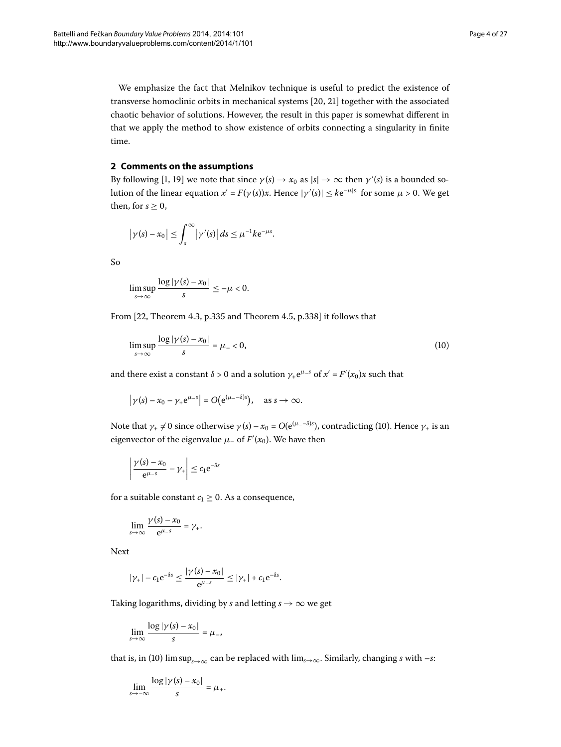<span id="page-3-0"></span>We emphasize the fact that Melnikov technique is useful to predict the existence of transverse homoclinic orbits in mechanical systems [20, 21] together with the associated chaotic behavior of solutions. However, the result in this paper is somewhat different in that we apply the method to show existence of orbits connecting a singularity in finite time.

## **2 Comments on the assumptions**

By following [1, 19[\]](#page-26-7) we note that since  $\gamma(s) \to x_0$  as  $|s| \to \infty$  then  $\gamma'(s)$  is a bounded solution of the linear equation  $x' = F(\gamma(s))x$ . Hence  $|\gamma'(s)| \leq k e^{-\mu|s|}$  for some  $\mu > 0$ . We get then, for  $s > 0$ ,

$$
|\gamma(s)-x_0|\leq \int_s^\infty |\gamma'(s)|\,ds\leq \mu^{-1}k\mathrm{e}^{-\mu s}.
$$

So

<span id="page-3-1"></span>
$$
\limsup_{s\to\infty}\frac{\log|\gamma(s)-x_0|}{s}\leq-\mu<0.
$$

From [\[](#page-26-10)22, Theorem 4.3, p.335 and Theorem 4.5, p.338] it follows that

$$
\limsup_{s \to \infty} \frac{\log |\gamma(s) - x_0|}{s} = \mu_- < 0,\tag{10}
$$

and there exist a constant  $\delta > 0$  and a solution  $\gamma_+ e^{\mu_- s}$  of  $x' = F'(x_0)x$  such that

$$
|\gamma(s) - x_0 - \gamma_+ e^{\mu_s}| = O(e^{(\mu_s - \delta)s}), \text{ as } s \to \infty.
$$

Note that  $\gamma_+ \neq 0$  since otherwise  $\gamma(s) - x_0 = O(e^{(\mu_- - \delta)s})$  $\gamma(s) - x_0 = O(e^{(\mu_- - \delta)s})$  $\gamma(s) - x_0 = O(e^{(\mu_- - \delta)s})$ , contradicting (10). Hence  $\gamma_+$  is an eigenvector of the eigenvalue  $\mu_{-}$  of  $F'(x_0)$ . We have then

$$
\left|\frac{\gamma(s)-x_0}{e^{\mu_s}}-\gamma_\pm\right|\leq c_1e^{-\delta s}
$$

for a suitable constant  $c_1 \geq 0$ . As a consequence,

$$
\lim_{s\to\infty}\frac{\gamma(s)-x_0}{e^{\mu_s}}=\gamma_+.
$$

Next

$$
|\gamma_+| - c_1 e^{-\delta s} \le \frac{|\gamma(s) - x_0|}{e^{\mu - s}} \le |\gamma_+| + c_1 e^{-\delta s}.
$$

Taking logarithms, dividing by *s* and letting  $s \rightarrow \infty$  we get

$$
\lim_{s\to\infty}\frac{\log|\gamma(s)-x_0|}{s}=\mu_{-},
$$

that is, in (10[\)](#page-3-1) lim sup<sub>*s*→∞</sub> can be replaced with lim<sub>*s*→∞</sub>. Similarly, changing *s* with –*s*:

$$
\lim_{s\to -\infty}\frac{\log|\gamma(s)-x_0|}{s}=\mu_+.
$$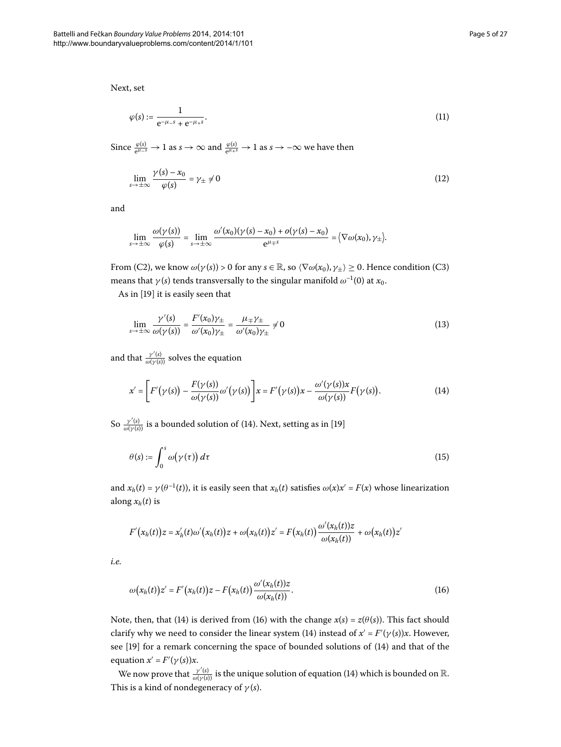Next, set

<span id="page-4-3"></span><span id="page-4-2"></span>
$$
\varphi(s) := \frac{1}{e^{-\mu_{-s}} + e^{-\mu_{+s}}}.
$$
\n(11)

Since  $\frac{\varphi(s)}{e^{\mu-s}} \to 1$  as  $s \to \infty$  and  $\frac{\varphi(s)}{e^{\mu+s}} \to 1$  as  $s \to -\infty$  we have then

$$
\lim_{s \to \pm \infty} \frac{\gamma(s) - x_0}{\varphi(s)} = \gamma_{\pm} \neq 0 \tag{12}
$$

and

<span id="page-4-4"></span>
$$
\lim_{s\to\pm\infty}\frac{\omega(\gamma(s))}{\varphi(s)}=\lim_{s\to\pm\infty}\frac{\omega'(x_0)(\gamma(s)-x_0)+o(\gamma(s)-x_0)}{e^{\mu+s}}=\big\langle\nabla\omega(x_0),\gamma_{\pm}\big\rangle.
$$

From (C2), we know  $\omega(\gamma(s)) > 0$  for any  $s \in \mathbb{R}$ , so  $\langle \nabla \omega(x_0), \gamma_{\pm} \rangle \geq 0$ . Hence condition (C3) means that *γ*(*s*) tends transversally to the singular manifold  $\omega^{-1}(0)$  at *x*<sub>0</sub>.

As in [\[](#page-26-7)19] it is easily seen that

<span id="page-4-0"></span>
$$
\lim_{s \to \pm \infty} \frac{\gamma'(s)}{\omega(\gamma(s))} = \frac{F'(x_0)\gamma_{\pm}}{\omega'(x_0)\gamma_{\pm}} = \frac{\mu_{\mp}\gamma_{\pm}}{\omega'(x_0)\gamma_{\pm}} \neq 0
$$
\n(13)

and that  $\frac{\gamma'(s)}{\omega(\gamma(s))}$  solves the equation

<span id="page-4-5"></span>
$$
x' = \left[ F'(\gamma(s)) - \frac{F(\gamma(s))}{\omega(\gamma(s))} \omega'(\gamma(s)) \right] x = F'(\gamma(s))x - \frac{\omega'(\gamma(s))x}{\omega(\gamma(s))} F(\gamma(s)).
$$
\n(14)

So  $\frac{\gamma'(s)}{\omega(\gamma(s))}$  $\frac{\gamma'(s)}{\omega(\gamma(s))}$  $\frac{\gamma'(s)}{\omega(\gamma(s))}$  is a bounded solution of (14). Next, setting as in [19[\]](#page-26-7)

$$
\theta(s) := \int_0^s \omega(\gamma(\tau)) d\tau \tag{15}
$$

and  $x_h(t) = \gamma(\theta^{-1}(t))$ , it is easily seen that  $x_h(t)$  satisfies  $\omega(x)x' = F(x)$  whose linearization along  $x_h(t)$  is

<span id="page-4-1"></span>
$$
F'(x_h(t))z = x'_h(t)\omega'(x_h(t))z + \omega(x_h(t))z' = F(x_h(t))\frac{\omega'(x_h(t))z}{\omega(x_h(t))} + \omega(x_h(t))z'
$$

*i.e.*

$$
\omega(x_h(t))z' = F'(x_h(t))z - F(x_h(t))\frac{\omega'(x_h(t))z}{\omega(x_h(t))}.
$$
\n(16)

Note, then, that [\(](#page-4-0)14[\)](#page-4-1) is derived from (16) with the change  $x(s) = z(\theta(s))$ . This fact should clarify why we need to consider the linear system [\(](#page-4-0)14) instead of  $x' = F'(\gamma(s))x$ . However, see [19[\]](#page-26-7) for a remark concerning the space of bounded solutions of (14[\)](#page-4-0) and that of the equation  $x' = F'(\gamma(s))x$ .

We now prove that  $\frac{\gamma'(s)}{\omega(\gamma(s))}$  $\frac{\gamma'(s)}{\omega(\gamma(s))}$  $\frac{\gamma'(s)}{\omega(\gamma(s))}$  is the unique solution of equation (14) which is bounded on  $\mathbb R.$ This is a kind of nondegeneracy of *γ* (*s*).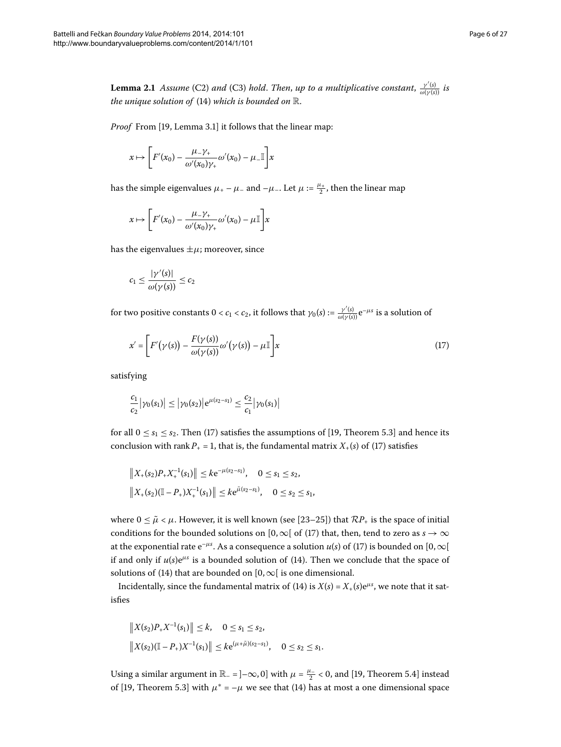<span id="page-5-1"></span>**Lemma 2.1** Assume (C2) and (C3) hold. Then, up to a multiplicative constant,  $\frac{y'(s)}{\omega(y(s))}$  is *the unique solution of*  $(14)$  $(14)$  *which is bounded on*  $\mathbb{R}$ *.* 

*Proof* From [\[](#page-26-7)19, Lemma 3.1] it follows that the linear map:

$$
x \mapsto \left[ F'(x_0) - \frac{\mu_{-} \gamma_{+}}{\omega'(x_0) \gamma_{+}} \omega'(x_0) - \mu_{-} \mathbb{I} \right] x
$$

has the simple eigenvalues  $\mu_+ - \mu_-$  and  $-\mu_-$ . Let  $\mu := \frac{\mu_+}{2}$ , then the linear map

$$
x \mapsto \left[ F'(x_0) - \frac{\mu_+ \gamma_+}{\omega'(x_0) \gamma_+} \omega'(x_0) - \mu \mathbb{I} \right] x
$$

has the eigenvalues  $\pm \mu$ ; moreover, since

<span id="page-5-0"></span>
$$
c_1 \leq \frac{|\gamma'(s)|}{\omega(\gamma(s))} \leq c_2
$$

for two positive constants  $0 < c_1 < c_2$ , it follows that  $\gamma_0(s) := \frac{\gamma'(s)}{\omega(\gamma(s))} \mathrm{e}^{-\mu s}$  is a solution of

$$
x' = \left[ F'(\gamma(s)) - \frac{F(\gamma(s))}{\omega(\gamma(s))} \omega'(\gamma(s)) - \mu \mathbb{I} \right] x \tag{17}
$$

satisfying

$$
\frac{c_1}{c_2}|\gamma_0(s_1)| \leq |\gamma_0(s_2)|e^{\mu(s_2-s_1)} \leq \frac{c_2}{c_1}|\gamma_0(s_1)|
$$

for all  $0 \le s_1 \le s_2$ . Then (17) satisfies the assumptions of [\[](#page-26-7)19, Theorem 5.3] and hence its conclusion with rank  $P_+ = 1$ , that is, the fundamental matrix  $X_+(s)$  $X_+(s)$  of (17) satisfies

$$
||X_{+}(s_{2})P_{+}X_{+}^{-1}(s_{1})|| \leq k e^{-\mu(s_{2}-s_{1})}, \quad 0 \leq s_{1} \leq s_{2},
$$
  

$$
||X_{+}(s_{2})(\mathbb{I}-P_{+})X_{+}^{-1}(s_{1})|| \leq k e^{\tilde{\mu}(s_{2}-s_{1})}, \quad 0 \leq s_{2} \leq s_{1},
$$

where  $0 \le \tilde{\mu} < \mu$ . However, it is well known (see [\[](#page-26-11)23[–](#page-26-12)25]) that  $\mathcal{RP}_+$  is the space of initial conditions for the bounded solutions on [0,  $\infty$ [ of (17[\)](#page-5-0) that, then, tend to zero as *s* →  $\infty$ at the exponential rate  $e^{-\mu s}$ . As a consequence a solution  $u(s)$  $u(s)$  $u(s)$  of (17) is bounded on  $[0,\infty[$ if and only if  $u(s)e^{\mu s}$  is a bounded solution of (14). Then we conclude that the space of solutions of [\(](#page-4-0)14) that are bounded on [0,  $\infty$ [ is one dimensional.

Incidentally, since the fundamental matrix of (14) is  $X(s) = X_+(s)e^{\mu s}$ , we note that it satisfies

$$
||X(s_2)P_+X^{-1}(s_1)|| \le k, \quad 0 \le s_1 \le s_2,
$$
  

$$
||X(s_2)(\mathbb{I}-P_+)X^{-1}(s_1)|| \le k e^{(\mu+\tilde{\mu})(s_2-s_1)}, \quad 0 \le s_2 \le s_1.
$$

Using a similar argument in  $\mathbb{R}_- = ]-\infty, 0]$  with  $\mu = \frac{\mu_-}{2} < 0$ , and [\[](#page-26-7)19, Theorem 5.4] instead of [19, Theorem 5.3] with  $\mu^* = -\mu$  we see that (14[\)](#page-4-0) has at most a one dimensional space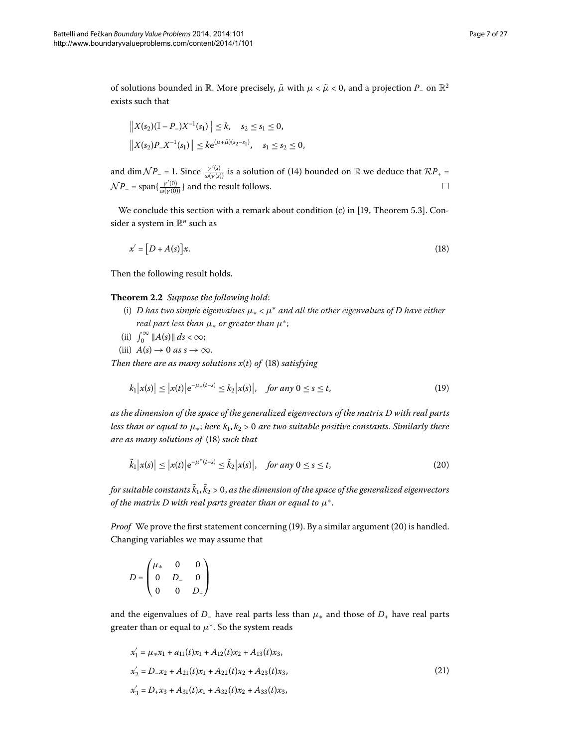of solutions bounded in R. More precisely,  $\tilde{\mu}$  with  $\mu < \tilde{\mu} < 0$ , and a projection  $P_-$  on  $\mathbb{R}^2$ exists such that

<span id="page-6-0"></span>
$$
||X(s_2)(\mathbb{I} - P_-)X^{-1}(s_1)|| \le k, \quad s_2 \le s_1 \le 0,
$$
  

$$
||X(s_2)P_XX^{-1}(s_1)|| \le k e^{(\mu + \tilde{\mu})(s_2 - s_1)}, \quad s_1 \le s_2 \le 0,
$$

and dim $\mathcal{N}P_-$  = 1. Since  $\frac{\gamma'(s)}{\omega(\gamma(s))}$  $\frac{\gamma'(s)}{\omega(\gamma(s))}$  $\frac{\gamma'(s)}{\omega(\gamma(s))}$  is a solution of (14) bounded on R we deduce that  $\mathcal{R}P_+$  =  $\mathcal{N}P_{-} = \text{span}\{\frac{\gamma'(0)}{\omega(\gamma(0))}\}\$  and the result follows.  $\Box$ 

<span id="page-6-4"></span>We conclude this section with a remark about condition (c) in [19[,](#page-26-7) Theorem 5.3]. Consider a system in R*<sup>n</sup>* such as

<span id="page-6-1"></span>
$$
x' = [D + A(s)]x.
$$
\n<sup>(18)</sup>

Then the following result holds.

**Theorem .** *Suppose the following hold*:

- (i) *D* has two simple eigenvalues  $\mu_* < \mu^*$  and all the other eigenvalues of *D* have either *real part less than μ*<sup>∗</sup> *or greater than μ*∗;
- (ii)  $\int_0^\infty \|A(s)\| \, ds < \infty;$
- (iii)  $A(s) \to 0$  as  $s \to \infty$ .

*Then there are as many solutions*  $x(t)$  $x(t)$  *of (18) satisfying* 

<span id="page-6-2"></span>
$$
k_1 |x(s)| \le |x(t)| e^{-\mu_*(t-s)} \le k_2 |x(s)|, \quad \text{for any } 0 \le s \le t,
$$
 (19)

*as the dimension of the space of the generalized eigenvectors of the matrix D with real parts less than or equal to*  $\mu_*$ ; *here*  $k_1, k_2 > 0$  *are two suitable positive constants. Similarly there are as many solutions of* (18[\)](#page-6-0) *such that* 

$$
\tilde{k}_1|x(s)| \le |x(t)|e^{-\mu^*(t-s)} \le \tilde{k}_2|x(s)|, \quad \text{for any } 0 \le s \le t,
$$
\n
$$
(20)
$$

for suitable constants k<sub>1</sub>, k<sub>2</sub> > 0, as the dimension of the space of the generalized eigenvectors *of the matrix D with real parts greater than or equal to*  $\mu^*$ .

*Proof* We prove the first statement concerning (19[\)](#page-6-1). By a similar argument (20) is handled. Changing variables we may assume that

<span id="page-6-3"></span>
$$
D = \begin{pmatrix} \mu_* & 0 & 0 \\ 0 & D_- & 0 \\ 0 & 0 & D_+ \end{pmatrix}
$$

and the eigenvalues of *D*<sub>–</sub> have real parts less than  $\mu_*$  and those of  $D_+$  have real parts greater than or equal to  $\mu^*$ . So the system reads

$$
x'_1 = \mu_* x_1 + a_{11}(t)x_1 + A_{12}(t)x_2 + A_{13}(t)x_3,
$$
  
\n
$$
x'_2 = D_- x_2 + A_{21}(t)x_1 + A_{22}(t)x_2 + A_{23}(t)x_3,
$$
  
\n
$$
x'_3 = D_+ x_3 + A_{31}(t)x_1 + A_{32}(t)x_2 + A_{33}(t)x_3,
$$
\n(21)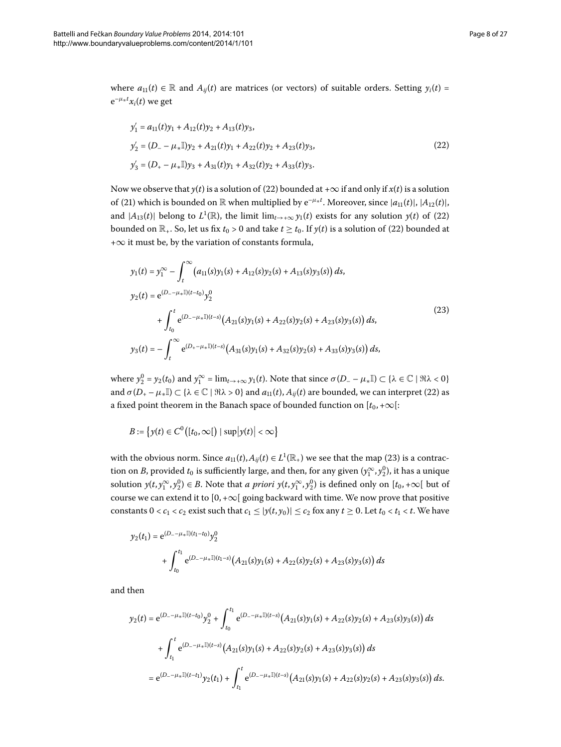where  $a_{11}(t) \in \mathbb{R}$  and  $A_{ij}(t)$  are matrices (or vectors) of suitable orders. Setting  $y_i(t) =$  $e^{-\mu_* t}x_i(t)$  we get

<span id="page-7-0"></span>
$$
y'_1 = a_{11}(t)y_1 + A_{12}(t)y_2 + A_{13}(t)y_3,
$$
  
\n
$$
y'_2 = (D_- - \mu_* \mathbb{I})y_2 + A_{21}(t)y_1 + A_{22}(t)y_2 + A_{23}(t)y_3,
$$
  
\n
$$
y'_3 = (D_+ - \mu_* \mathbb{I})y_3 + A_{31}(t)y_1 + A_{32}(t)y_2 + A_{33}(t)y_3.
$$
\n(22)

Now we observe that *y*[\(](#page-7-0)*t*) is a solution of (22) bounded at + $\infty$  if and only if *x*(*t*) is a solution of (21[\)](#page-6-3) which is bounded on  $\mathbb R$  when multiplied by  $e^{-\mu * t}$ . Moreover, since  $|a_{11}(t)|$ ,  $|A_{12}(t)|$ , and  $|A_{13}(t)|$  belong to  $L^1(\mathbb{R})$ , the limit  $\lim_{t\to+\infty} y_1(t)$  exists for any solution  $y(t)$  of (22) bounded on  $\mathbb{R}_+$ . So, let us fix  $t_0 > 0$  and take  $t \geq t_0$ . If  $y(t)$  $y(t)$  is a solution of (22) bounded at +∞ it must be, by the variation of constants formula,

<span id="page-7-1"></span>
$$
y_1(t) = y_1^{\infty} - \int_t^{\infty} (a_{11}(s)y_1(s) + A_{12}(s)y_2(s) + A_{13}(s)y_3(s)) ds,
$$
  
\n
$$
y_2(t) = e^{(D_- - \mu_* \mathbb{I})(t - t_0)} y_2^0
$$
  
\n
$$
+ \int_{t_0}^t e^{(D_- - \mu_* \mathbb{I})(t - s)} (A_{21}(s)y_1(s) + A_{22}(s)y_2(s) + A_{23}(s)y_3(s)) ds,
$$
  
\n
$$
y_3(t) = - \int_t^{\infty} e^{(D_+ - \mu_* \mathbb{I})(t - s)} (A_{31}(s)y_1(s) + A_{32}(s)y_2(s) + A_{33}(s)y_3(s)) ds,
$$
\n
$$
(23)
$$

where  $y_2^0 = y_2(t_0)$  and  $y_1^{\infty} = \lim_{t \to +\infty} y_1(t)$ . Note that since  $\sigma(D_- - \mu_* \mathbb{I}) \subset {\lambda \in \mathbb{C} \mid \Re \lambda < 0}$ and  $\sigma(D_+ - \mu_* \mathbb{I}) \subset {\lambda \in \mathbb{C} \mid \Re \lambda > 0}$  $\sigma(D_+ - \mu_* \mathbb{I}) \subset {\lambda \in \mathbb{C} \mid \Re \lambda > 0}$  $\sigma(D_+ - \mu_* \mathbb{I}) \subset {\lambda \in \mathbb{C} \mid \Re \lambda > 0}$  and  $a_{11}(t), A_{ij}(t)$  are bounded, we can interpret (22) as a fixed point theorem in the Banach space of bounded function on  $[t_0, +\infty]$ :

$$
B := \left\{ y(t) \in C^0\big( [t_0, \infty[ \big) \mid \sup |y(t)| < \infty \right\}
$$

with the obvious norm. Since  $a_{11}(t)$  $a_{11}(t)$ ,  $A_{ij}(t) \in L^1(\mathbb{R}_+)$  we see that the map (23) is a contraction on *B*, provided  $t_0$  is sufficiently large, and then, for any given  $(y_1^{\infty}, y_2^0)$ , it has a unique solution  $y(t, y_1^{\infty}, y_2^0) \in B$ . Note that *a priori*  $y(t, y_1^{\infty}, y_2^0)$  is defined only on  $[t_0, +\infty[$  but of course we can extend it to  $[0, +\infty[$  going backward with time. We now prove that positive constants  $0 < c_1 < c_2$  exist such that  $c_1 \le |y(t, y_0)| \le c_2$  fox any  $t \ge 0$ . Let  $t_0 < t_1 < t$ . We have

$$
y_2(t_1) = e^{(D_-\mu_*\mathbb{I})(t_1-t_0)} y_2^0
$$
  
+ 
$$
\int_{t_0}^{t_1} e^{(D_-\mu_*\mathbb{I})(t_1-s)} (A_{21}(s)y_1(s) + A_{22}(s)y_2(s) + A_{23}(s)y_3(s)) ds
$$

and then

$$
y_2(t) = e^{(D_- - \mu_* \mathbb{I})(t - t_0)} y_2^0 + \int_{t_0}^{t_1} e^{(D_- - \mu_* \mathbb{I})(t - s)} (A_{21}(s)y_1(s) + A_{22}(s)y_2(s) + A_{23}(s)y_3(s)) ds
$$
  
+ 
$$
\int_{t_1}^t e^{(D_- - \mu_* \mathbb{I})(t - s)} (A_{21}(s)y_1(s) + A_{22}(s)y_2(s) + A_{23}(s)y_3(s)) ds
$$
  
= 
$$
e^{(D_- - \mu_* \mathbb{I})(t - t_1)} y_2(t_1) + \int_{t_1}^t e^{(D_- - \mu_* \mathbb{I})(t - s)} (A_{21}(s)y_1(s) + A_{22}(s)y_2(s) + A_{23}(s)y_3(s)) ds.
$$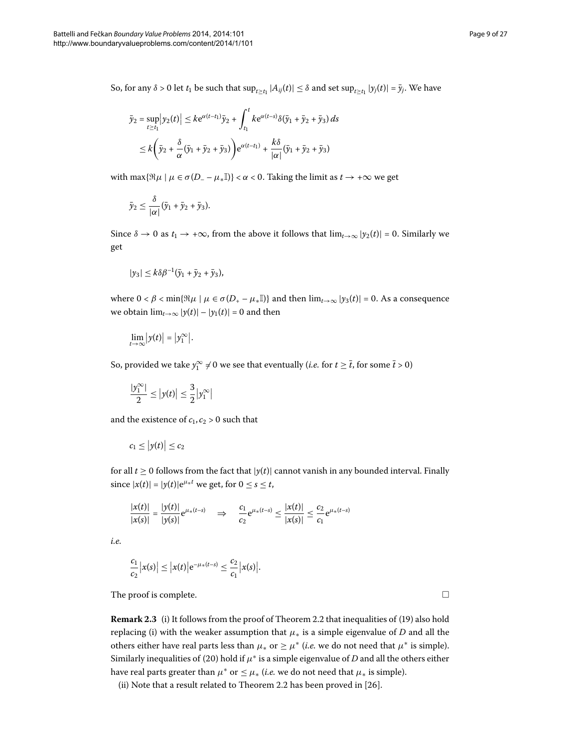So, for any *δ* > 0 let *t*<sub>1</sub> be such that  $\sup_{t\geq t_1} |A_{ij}(t)| \leq \delta$  and set  $\sup_{t\geq t_1} |y_j(t)| = \bar{y}_j$ . We have

$$
\bar{y}_2 = \sup_{t \ge t_1} |y_2(t)| \le k e^{\alpha(t-t_1)} \bar{y}_2 + \int_{t_1}^t k e^{\alpha(t-s)} \delta(\bar{y}_1 + \bar{y}_2 + \bar{y}_3) ds
$$
  

$$
\le k \left( \bar{y}_2 + \frac{\delta}{\alpha} (\bar{y}_1 + \bar{y}_2 + \bar{y}_3) \right) e^{\alpha(t-t_1)} + \frac{k \delta}{|\alpha|} (\bar{y}_1 + \bar{y}_2 + \bar{y}_3)
$$

with max $\{\Re \mu \mid \mu \in \sigma(D_-\{-\mu_*\mathbb{I})\}<\alpha<0$ . Taking the limit as  $t \to +\infty$  we get

$$
\bar{y}_2 \leq \frac{\delta}{|\alpha|} (\bar{y}_1 + \bar{y}_2 + \bar{y}_3).
$$

Since  $\delta \to 0$  as  $t_1 \to +\infty$ , from the above it follows that  $\lim_{t\to\infty} |y_2(t)| = 0$ . Similarly we get

$$
|y_3|\leq k\delta\beta^{-1}(\bar{y}_1+\bar{y}_2+\bar{y}_3),
$$

where  $0 < \beta < \min{\{\Re \mu \mid \mu \in \sigma(D_{+} - \mu_{*}\mathbb{I})\}}$  and then  $\lim_{t \to \infty} |y_{3}(t)| = 0$ . As a consequence we obtain  $\lim_{t\to\infty} |y(t)| - |y_1(t)| = 0$  and then

$$
\lim_{t\to\infty}\big|y(t)\big|=\big|y_1^{\infty}\big|.
$$

So, provided we take  $y_1^{\infty} \neq 0$  we see that eventually (*i.e.* for  $t \geq \overline{t}$ , for some  $\overline{t} > 0$ )

$$
\frac{|y_1^{\infty}|}{2} \le |y(t)| \le \frac{3}{2}|y_1^{\infty}|
$$

and the existence of  $c_1$ ,  $c_2 > 0$  such that

$$
c_1\leq\big|y(t)\big|\leq c_2
$$

for all  $t \geq 0$  follows from the fact that  $|y(t)|$  cannot vanish in any bounded interval. Finally since  $|x(t)| = |y(t)|e^{\mu * t}$  we get, for  $0 \le s \le t$ ,

$$
\frac{|x(t)|}{|x(s)|} = \frac{|y(t)|}{|y(s)|} e^{\mu_*(t-s)} \quad \Rightarrow \quad \frac{c_1}{c_2} e^{\mu_*(t-s)} \le \frac{|x(t)|}{|x(s)|} \le \frac{c_2}{c_1} e^{\mu_*(t-s)}
$$

*i.e.*

$$
\frac{c_1}{c_2}|x(s)| \le |x(t)|e^{-\mu_*(t-s)} \le \frac{c_2}{c_1}|x(s)|.
$$

The proof is complete.

**Remark 2[.](#page-6-4)3** (i[\)](#page-6-1) It follows from the proof of Theorem 2.2 that inequalities of (19) also hold replacing (i) with the weaker assumption that  $\mu_*$  is a simple eigenvalue of *D* and all the others either have real parts less than  $\mu_*$  or  $\geq \mu^*$  *(i.e.* we do not need that  $\mu^*$  is simple). Similarly inequalities of (20) hold if  $\mu^*$  is a simple eigenvalue of *D* and all the others either have real parts greater than  $\mu^*$  or  $\leq \mu_*$  (*i.e.* we do not need that  $\mu_*$  is simple).

(ii) Note that a result related to Theorem 2[.](#page-6-4)2 has been proved in  $[26]$ .

 $\Box$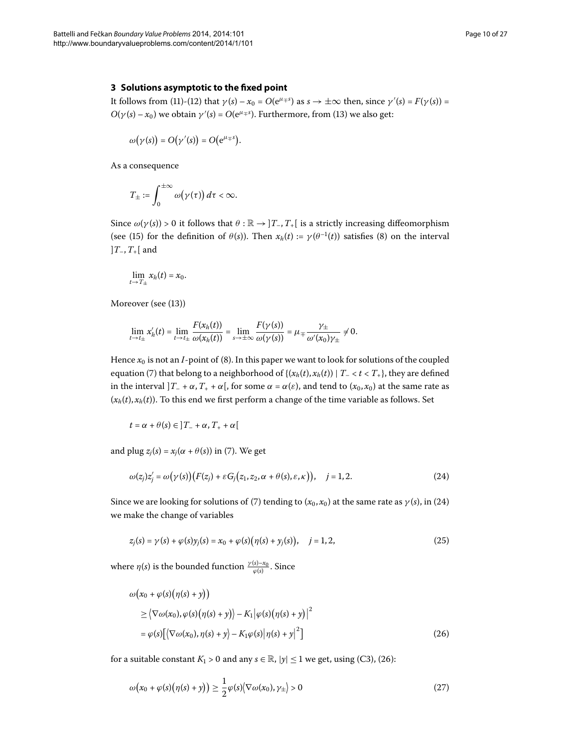## <span id="page-9-0"></span>**3 Solutions asymptotic to the fixed point**

It follows from [\(](#page-4-3)11)-(12) that  $\gamma(s) - x_0 = O(e^{\mu + s})$  as  $s \to \pm \infty$  then, since  $\gamma'(s) = F(\gamma(s)) =$  $O(\gamma(s) - x_0)$  $O(\gamma(s) - x_0)$  $O(\gamma(s) - x_0)$  we obtain  $\gamma'(s) = O(e^{\mu + s})$ . Furthermore, from (13) we also get:

$$
\omega(\gamma(s)) = O(\gamma'(s)) = O(e^{\mu + s}).
$$

As a consequence

$$
T_{\pm}:=\int_0^{\pm\infty}\omega(\gamma(\tau))\,d\tau<\infty.
$$

Since  $\omega(\gamma(s)) > 0$  it follows that  $\theta : \mathbb{R} \to ]T_-, T_+[$  is a strictly increasing diffeomorphism [\(](#page-2-2)see (15) for the definition of  $\theta(s)$ ). Then  $x_h(t) := \gamma(\theta^{-1}(t))$  satisfies (8) on the interval ]*T*–,*T*+[ and

$$
\lim_{t\to T_\pm}x_h(t)=x_0.
$$

Moreover (see (13[\)](#page-4-4))

$$
\lim_{t\to t_{\pm}}x'_{h}(t)=\lim_{t\to t_{\pm}}\frac{F(x_{h}(t))}{\omega(x_{h}(t))}=\lim_{s\to\pm\infty}\frac{F(\gamma(s))}{\omega(\gamma(s))}=\mu_{\mp}\frac{\gamma_{\pm}}{\omega'(x_{0})\gamma_{\pm}}\neq 0.
$$

Hence  $x_0$  is not an *I*-point of (8[\)](#page-2-2). In this paper we want to look for solutions of the coupled equation (7[\)](#page-2-0) that belong to a neighborhood of  $\{(x_h(t), x_h(t)) | T = < t < T_+\}$ , they are defined in the interval  $]T_{-} + \alpha, T_{+} + \alpha[$ , for some  $\alpha = \alpha(\varepsilon)$ , and tend to  $(x_0, x_0)$  at the same rate as  $(x_h(t), x_h(t))$ . To this end we first perform a change of the time variable as follows. Set

<span id="page-9-1"></span>
$$
t = \alpha + \theta(s) \in ]T_- + \alpha, T_+ + \alpha[
$$

and plug  $z_i(s) = x_i(\alpha + \theta(s))$  $z_i(s) = x_i(\alpha + \theta(s))$  $z_i(s) = x_i(\alpha + \theta(s))$  in (7). We get

<span id="page-9-4"></span>
$$
\omega(z_j)z'_j = \omega(\gamma(s))\bigl(F(z_j) + \varepsilon G_j(z_1, z_2, \alpha + \theta(s), \varepsilon, \kappa)\bigr), \quad j = 1, 2. \tag{24}
$$

Since we are looking for solutions of [\(](#page-2-0)7) tending to  $(x_0, x_0)$  at the same rate as  $\gamma(s)$ , in (24) we make the change of variables

<span id="page-9-2"></span>
$$
z_j(s) = \gamma(s) + \varphi(s)y_j(s) = x_0 + \varphi(s)\big(\eta(s) + y_j(s)\big), \quad j = 1, 2,
$$
\n(25)

where  $\eta(s)$  is the bounded function  $\frac{\gamma(s)-x_0}{\varphi(s)}$ . Since

<span id="page-9-3"></span>
$$
\omega(x_0 + \varphi(s)(\eta(s) + y))
$$
  
\n
$$
\geq \langle \nabla \omega(x_0), \varphi(s)(\eta(s) + y) \rangle - K_1 |\varphi(s)(\eta(s) + y)|^2
$$
  
\n
$$
= \varphi(s) [\langle \nabla \omega(x_0), \eta(s) + y \rangle - K_1 \varphi(s) |\eta(s) + y|^2]
$$
\n(26)

for a suitable constant  $K_1 > 0$  and any  $s \in \mathbb{R}$ ,  $|y| \leq 1$  we get, using (C3), (26):

$$
\omega(x_0 + \varphi(s)(\eta(s) + y)) \ge \frac{1}{2}\varphi(s)\langle \nabla \omega(x_0), \gamma_{\pm} \rangle > 0
$$
\n(27)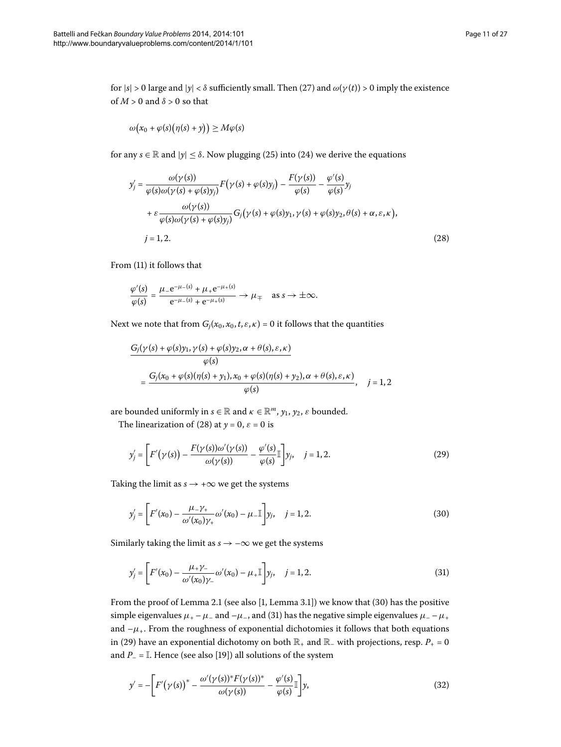for  $|s| > 0$  large and  $|y| < \delta$  sufficiently small. Then [\(](#page-9-3)27) and  $\omega(\gamma(t)) > 0$  imply the existence of  $M > 0$  and  $\delta > 0$  so that

<span id="page-10-0"></span>
$$
\omega(x_0+\varphi(s)(\eta(s)+y))\geq M\varphi(s)
$$

for any  $s \in \mathbb{R}$  and  $|y| \leq \delta$ . Now plugging [\(](#page-9-4)25) into (24) we derive the equations

$$
y'_{j} = \frac{\omega(\gamma(s))}{\varphi(s)\omega(\gamma(s) + \varphi(s)y_{j})} F(\gamma(s) + \varphi(s)y_{j}) - \frac{F(\gamma(s))}{\varphi(s)} - \frac{\varphi'(s)}{\varphi(s)}y_{j}
$$
  
+  $\varepsilon \frac{\omega(\gamma(s))}{\varphi(s)\omega(\gamma(s) + \varphi(s)y_{j})} G_{j}(\gamma(s) + \varphi(s)y_{1}, \gamma(s) + \varphi(s)y_{2}, \theta(s) + \alpha, \varepsilon, \kappa),$   
 $j = 1, 2.$  (28)

From [\(](#page-4-2)11) it follows that

$$
\frac{\varphi'(s)}{\varphi(s)} = \frac{\mu_- e^{-\mu_-(s)} + \mu_+ e^{-\mu_+(s)}}{e^{-\mu_-(s)} + e^{-\mu_+(s)}} \to \mu_{\mp} \quad \text{as } s \to \pm \infty.
$$

Next we note that from  $G_j(x_0, x_0, t, \varepsilon, \kappa) = 0$  it follows that the quantities

<span id="page-10-3"></span>
$$
G_j(\gamma(s) + \varphi(s)y_1, \gamma(s) + \varphi(s)y_2, \alpha + \theta(s), \varepsilon, \kappa)
$$
  

$$
\varphi(s)
$$
  

$$
= \frac{G_j(x_0 + \varphi(s)(\eta(s) + y_1), x_0 + \varphi(s)(\eta(s) + y_2), \alpha + \theta(s), \varepsilon, \kappa)}{\varphi(s)}, \quad j = 1, 2
$$

are bounded uniformly in  $s \in \mathbb{R}$  and  $\kappa \in \mathbb{R}^m$ ,  $y_1, y_2, \varepsilon$  bounded.

The linearization of (28) at  $y = 0$ ,  $\varepsilon = 0$  is

<span id="page-10-1"></span>
$$
y'_{j} = \left[ F'(\gamma(s)) - \frac{F(\gamma(s))\omega'(\gamma(s))}{\omega(\gamma(s))} - \frac{\varphi'(s)}{\varphi(s)} \mathbb{I} \right] y_{j}, \quad j = 1, 2.
$$
 (29)

Taking the limit as  $s \rightarrow +\infty$  we get the systems

<span id="page-10-2"></span>
$$
y'_{j} = \left[ F'(x_{0}) - \frac{\mu_{-} \gamma_{+}}{\omega'(x_{0}) \gamma_{+}} \omega'(x_{0}) - \mu_{-} \mathbb{I} \right] y_{j}, \quad j = 1, 2.
$$
 (30)

Similarly taking the limit as  $s\to -\infty$  we get the systems

<span id="page-10-4"></span>
$$
y'_{j} = \left[ F'(x_{0}) - \frac{\mu_{+} \gamma_{-}}{\omega'(x_{0}) \gamma_{-}} \omega'(x_{0}) - \mu_{+} \mathbb{I} \right] y_{j}, \quad j = 1, 2.
$$
 (31)

From the proof of Lemma 2[.](#page-5-1)1 (see also  $[1,$  $[1,$  Lemma 3.1]) we know that  $(30)$  has the positive simple eigenvalues  $\mu_+ - \mu_-$  and  $-\mu_-$ , and (31[\)](#page-10-2) has the negative simple eigenvalues  $\mu_- - \mu_+$ and  $-\mu_{+}$ . From the roughness of exponential dichotomies it follows that both equations in (29) have an exponential dichotomy on both  $\mathbb{R}_+$  and  $\mathbb{R}_-$  with projections, resp.  $P_+ = 0$ and  $P_$  =  $\mathbb{I}$ . Hence (see also [19[\]](#page-26-7)) all solutions of the system

$$
y' = -\left[F'(\gamma(s))^* - \frac{\omega'(\gamma(s))^* F(\gamma(s))^*}{\omega(\gamma(s))} - \frac{\varphi'(s)}{\varphi(s)}\right]y,\tag{32}
$$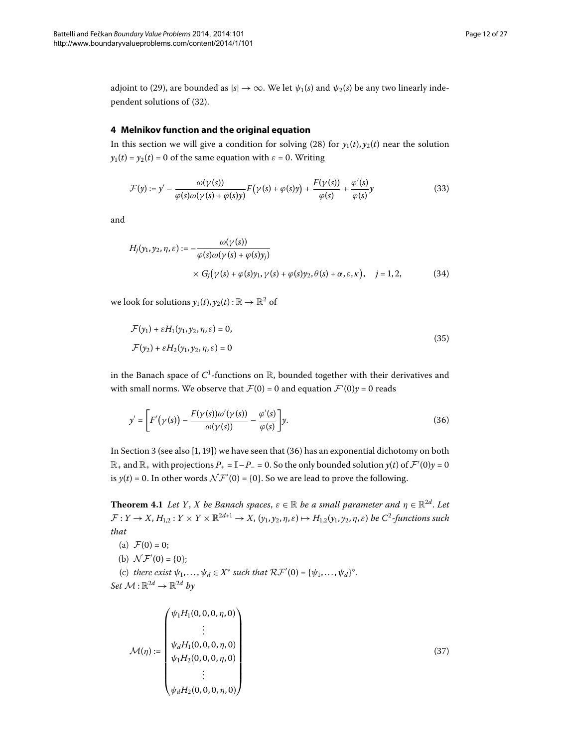<span id="page-11-0"></span>adjoint to (29[\)](#page-10-3), are bounded as  $|s| \to \infty$ . We let  $\psi_1(s)$  and  $\psi_2(s)$  be any two linearly inde-pendent solutions of (32[\)](#page-10-4).

## **4 Melnikov function and the original equation**

In this section we will give a condition for solving [\(](#page-10-0)28) for  $y_1(t)$ ,  $y_2(t)$  near the solution  $y_1(t) = y_2(t) = 0$  of the same equation with  $\varepsilon = 0$ . Writing

<span id="page-11-5"></span><span id="page-11-4"></span>
$$
\mathcal{F}(y) := y' - \frac{\omega(\gamma(s))}{\varphi(s)\omega(\gamma(s) + \varphi(s)y)} F(\gamma(s) + \varphi(s)y) + \frac{F(\gamma(s))}{\varphi(s)} + \frac{\varphi'(s)}{\varphi(s)}y \tag{33}
$$

and

<span id="page-11-2"></span>
$$
H_j(y_1, y_2, \eta, \varepsilon) := -\frac{\omega(\gamma(s))}{\varphi(s)\omega(\gamma(s) + \varphi(s)y_j)} \times G_j(\gamma(s) + \varphi(s)y_1, \gamma(s) + \varphi(s)y_2, \theta(s) + \alpha, \varepsilon, \kappa), \quad j = 1, 2,
$$
 (34)

we look for solutions  $y_1(t)$ ,  $y_2(t)$ :  $\mathbb{R} \to \mathbb{R}^2$  of

<span id="page-11-1"></span>
$$
\mathcal{F}(y_1) + \varepsilon H_1(y_1, y_2, \eta, \varepsilon) = 0,
$$
  
\n
$$
\mathcal{F}(y_2) + \varepsilon H_2(y_1, y_2, \eta, \varepsilon) = 0
$$
\n(35)

in the Banach space of  $C^1$ -functions on  $\mathbb R$ , bounded together with their derivatives and with small norms. We observe that  $\mathcal{F}(0) = 0$  and equation  $\mathcal{F}'(0)y = 0$  reads

<span id="page-11-3"></span>
$$
y' = \left[ F'(\gamma(s)) - \frac{F(\gamma(s))\omega'(\gamma(s))}{\omega(\gamma(s))} - \frac{\varphi'(s)}{\varphi(s)} \right] y.
$$
\n(36)

In Section 3 (see also  $[1, 19]$  $[1, 19]$  $[1, 19]$ ) we have seen that  $(36)$  has an exponential dichotomy on both  $\mathbb{R}_+$  and  $\mathbb{R}_+$  with projections  $P_+ = \mathbb{I} - P_- = 0$ . So the only bounded solution  $y(t)$  of  $\mathcal{F}'(0)y = 0$ is  $y(t) = 0$ . In other words  $\mathcal{NF}'(0) = \{0\}$ . So we are lead to prove the following.

**Theorem 4.1** Let *Y*, *X* be Banach spaces,  $\varepsilon \in \mathbb{R}$  be a small parameter and  $\eta \in \mathbb{R}^{2d}$ . Let  $\mathcal{F}: Y \to X$ ,  $H_{1,2}: Y \times Y \times \mathbb{R}^{2d+1} \to X$ ,  $(y_1, y_2, \eta, \varepsilon) \mapsto H_{1,2}(y_1, y_2, \eta, \varepsilon)$  *be*  $C^2$ -functions such *that*

\n- (a) 
$$
\mathcal{F}(0) = 0
$$
;
\n- (b)  $\mathcal{NF}'(0) = \{0\}$ ;
\n- (c) there exist  $\psi_1, \ldots, \psi_d \in X^*$  such that  $\mathcal{RF}'(0) = \{\psi_1, \ldots, \psi_d\}^\circ$ . Set  $\mathcal{M}: \mathbb{R}^{2d} \to \mathbb{R}^{2d}$  by
\n

<span id="page-11-6"></span>
$$
\mathcal{M}(\eta) := \begin{pmatrix} \psi_1 H_1(0, 0, 0, \eta, 0) \\ \vdots \\ \psi_d H_1(0, 0, 0, \eta, 0) \\ \psi_1 H_2(0, 0, 0, \eta, 0) \\ \vdots \\ \psi_d H_2(0, 0, 0, \eta, 0) \end{pmatrix}
$$
(37)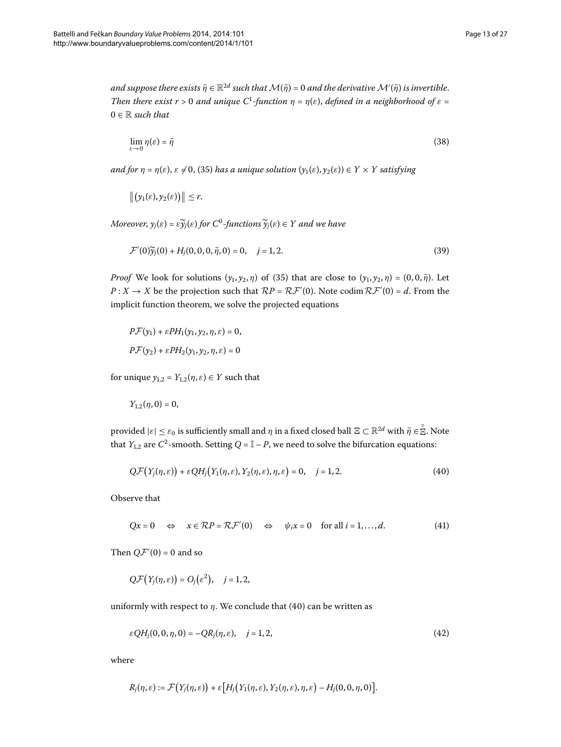$a$ nd suppose there exists  $\bar{\eta}\in\mathbb{R}^{2d}$  such that  $\mathcal{M}(\bar{\eta})$  = 0 and the derivative  $\mathcal{M}'(\bar{\eta})$  is invertible. *Then there exist r* > 0 *and unique*  $C^1$ -function  $\eta = \eta(\varepsilon)$ , *defined in a neighborhood of*  $\varepsilon$  =  $0 \in \mathbb{R}$  *such that* 

<span id="page-12-3"></span>
$$
\lim_{\varepsilon \to 0} \eta(\varepsilon) = \bar{\eta}
$$
\n(38)

*and for*  $\eta = \eta(\varepsilon)$  $\eta = \eta(\varepsilon)$ ,  $\varepsilon \neq 0$ , (35) has a unique solution  $(y_1(\varepsilon), y_2(\varepsilon)) \in Y \times Y$  satisfying

<span id="page-12-4"></span>
$$
\left\|\big(\mathbf{y}_1(\varepsilon),\mathbf{y}_2(\varepsilon)\big)\right\| \leq r.
$$

*Moreover,*  $y_i(\varepsilon) = \varepsilon \widetilde{y}_i(\varepsilon)$  *for*  $C^0$ *-functions*  $\widetilde{y}_i(\varepsilon) \in Y$  *and we have* 

$$
\mathcal{F}'(0)\tilde{\mathbf{y}}_j(0) + H_j(0,0,0,\bar{\eta},0) = 0, \quad j = 1,2. \tag{39}
$$

*Proof* We look for solutions  $(y_1, y_2, \eta)$  $(y_1, y_2, \eta)$  of (35) that are close to  $(y_1, y_2, \eta) = (0, 0, \overline{\eta})$ . Let  $P: X \to X$  be the projection such that  $\mathcal{R}P = \mathcal{R} \mathcal{F}'(0)$ . Note codim  $\mathcal{R} \mathcal{F}'(0) = d$ . From the implicit function theorem, we solve the projected equations

$$
P\mathcal{F}(y_1) + \varepsilon PH_1(y_1, y_2, \eta, \varepsilon) = 0,
$$
  

$$
P\mathcal{F}(y_2) + \varepsilon PH_2(y_1, y_2, \eta, \varepsilon) = 0
$$

for unique  $y_{1,2} = Y_{1,2}(\eta, \varepsilon) \in Y$  such that

<span id="page-12-0"></span>
$$
Y_{1,2}(\eta,0)=0,
$$

provided  $|\varepsilon| \leq \varepsilon_0$  is sufficiently small and  $\eta$  in a fixed closed ball  $\Xi \subset \mathbb{R}^{2d}$  with  $\bar{\eta} \in \mathcal{E}$ . Note that *Y*<sub>1,2</sub> are *C*<sup>2</sup>-smooth. Setting *Q* =  $\mathbb{I}$  – *P*, we need to solve the bifurcation equations:

<span id="page-12-1"></span>
$$
Q\mathcal{F}\big(Y_j(\eta,\varepsilon)\big)+\varepsilon QH_j\big(Y_1(\eta,\varepsilon),Y_2(\eta,\varepsilon),\eta,\varepsilon\big)=0,\quad j=1,2.
$$
 (40)

Observe that

<span id="page-12-2"></span>
$$
Qx = 0 \quad \Leftrightarrow \quad x \in \mathcal{RP} = \mathcal{RF}'(0) \quad \Leftrightarrow \quad \psi_i x = 0 \quad \text{for all } i = 1, \dots, d. \tag{41}
$$

Then  $Q\mathcal{F}'(0) = 0$  and so

$$
Q\mathcal{F}\big(Y_j(\eta,\varepsilon)\big)=O_j(\varepsilon^2),\quad j=1,2,
$$

uniformly with respect to  $\eta$ . We conclude that (40) can be written as

$$
\varepsilon QH_j(0,0,\eta,0) = -QR_j(\eta,\varepsilon), \quad j = 1,2,
$$
\n
$$
(42)
$$

where

$$
R_j(\eta,\varepsilon):=\mathcal{F}\big(Y_j(\eta,\varepsilon)\big)+\varepsilon\big[H_j\big(Y_1(\eta,\varepsilon),Y_2(\eta,\varepsilon),\eta,\varepsilon\big)-H_j(0,0,\eta,0)\big].
$$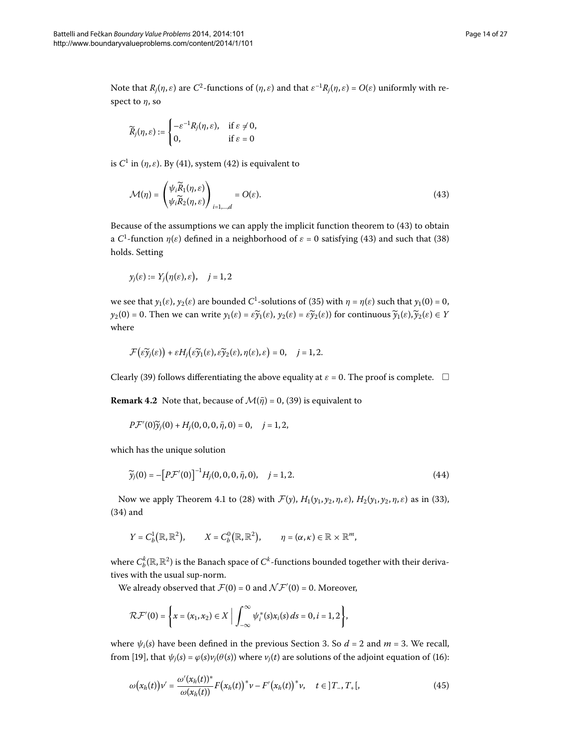Note that  $R_i(\eta, \varepsilon)$  are  $C^2$ -functions of  $(\eta, \varepsilon)$  and that  $\varepsilon^{-1}R_i(\eta, \varepsilon) = O(\varepsilon)$  uniformly with respect to *η*, so

<span id="page-13-0"></span>
$$
\widetilde{R}_j(\eta,\varepsilon):=\begin{cases}-\varepsilon^{-1}R_j(\eta,\varepsilon),&\text{if } \varepsilon\neq 0,\\ 0,&\text{if } \varepsilon=0\end{cases}
$$

is  $C^1$  in  $(\eta, \varepsilon)$ . By (41), system (42) is equivalent to

$$
\mathcal{M}(\eta) = \begin{pmatrix} \psi_i \widetilde{R}_1(\eta, \varepsilon) \\ \psi_i \widetilde{R}_2(\eta, \varepsilon) \end{pmatrix}_{i=1,\dots,d} = O(\varepsilon). \tag{43}
$$

Because of the assumptions we can apply the implicit function theorem to  $(43)$  to obtain a C<sup>1</sup>-function  $\eta(\varepsilon)$  defined in a neighborhood of  $\varepsilon$  = 0 satisfying (43) and such that (38) holds. Setting

$$
y_j(\varepsilon) := Y_j(\eta(\varepsilon), \varepsilon), \quad j = 1, 2
$$

we see that  $y_1(\varepsilon)$  $y_1(\varepsilon)$ ,  $y_2(\varepsilon)$  are bounded  $C^1$ -solutions of (35) with  $\eta = \eta(\varepsilon)$  such that  $y_1(0) = 0$ ,  $y_2(0) = 0$ . Then we can write  $y_1(\varepsilon) = \varepsilon \widetilde{y}_1(\varepsilon)$ ,  $y_2(\varepsilon) = \varepsilon \widetilde{y}_2(\varepsilon)$  for continuous  $\widetilde{y}_1(\varepsilon), \widetilde{y}_2(\varepsilon) \in Y$ where

<span id="page-13-2"></span>
$$
\mathcal{F}\big(\widetilde{\varepsilon}\widetilde{y}_j(\varepsilon)\big)+\varepsilon H_j\big(\widetilde{\varepsilon}\widetilde{y}_1(\varepsilon),\widetilde{\varepsilon}\widetilde{y}_2(\varepsilon),\eta(\varepsilon),\varepsilon\big)=0,\quad j=1,2.
$$

Clearly [\(](#page-12-4)39) follows differentiating the above equality at  $\varepsilon$  = 0. The proof is complete.  $\Box$ 

**Remark 4.2** Note that, because of  $\mathcal{M}(\bar{\eta}) = 0$  $\mathcal{M}(\bar{\eta}) = 0$  $\mathcal{M}(\bar{\eta}) = 0$ , (39) is equivalent to

$$
P\mathcal{F}'(0)\widetilde{\mathbf{y}}_j(0) + H_j(0,0,0,\bar{\eta},0) = 0, \quad j = 1,2,
$$

which has the unique solution

$$
\widetilde{y}_j(0) = -[P\mathcal{F}'(0)]^{-1}H_j(0,0,0,\bar{\eta},0), \quad j=1,2.
$$
\n(44)

Now we apply Theorem 4[.](#page-11-3)1 to (28[\)](#page-11-4) with  $\mathcal{F}(y)$ ,  $H_1(y_1, y_2, \eta, \varepsilon)$ ,  $H_2(y_1, y_2, \eta, \varepsilon)$  as in (33),  $(34)$  and

$$
Y = C^1_b(\mathbb{R}, \mathbb{R}^2), \qquad X = C^0_b(\mathbb{R}, \mathbb{R}^2), \qquad \eta = (\alpha, \kappa) \in \mathbb{R} \times \mathbb{R}^m,
$$

where  $C_b^k(\mathbb R,\mathbb R^2)$  is the Banach space of  $C^k$ -functions bounded together with their derivatives with the usual sup-norm.

We already observed that  $\mathcal{F}(0) = 0$  and  $\mathcal{NF}'(0) = 0$ . Moreover,

<span id="page-13-1"></span>
$$
\mathcal{RF}'(0) = \left\{ x = (x_1, x_2) \in X \; \Big| \; \int_{-\infty}^{\infty} \psi_i^*(s) x_i(s) \, ds = 0, i = 1, 2 \right\},\
$$

where  $\psi_i(s)$  have been defined in the previous Section 3. So  $d = 2$  and  $m = 3$ . We recall, from [\[](#page-26-7)19], that  $\psi_j(s) = \varphi(s)v_j(\theta(s))$  $\psi_j(s) = \varphi(s)v_j(\theta(s))$  $\psi_j(s) = \varphi(s)v_j(\theta(s))$  where  $v_j(t)$  are solutions of the adjoint equation of (16):

$$
\omega(x_h(t))v' = \frac{\omega'(x_h(t))^*}{\omega(x_h(t))}F(x_h(t))^*v - F'(x_h(t))^*v, \quad t \in ]T_-, T_+[,
$$
\n(45)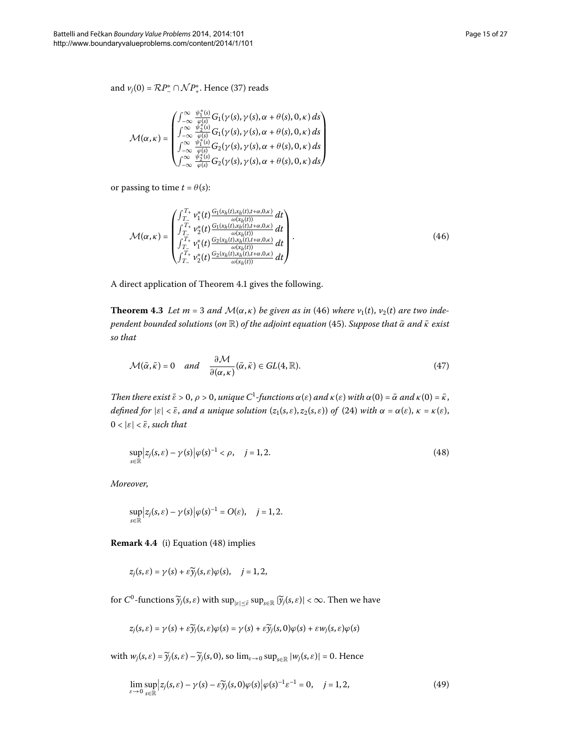and  $v_j(0) = \mathcal{R}P_{-}^* \cap \mathcal{NP}_{+}^*$  $v_j(0) = \mathcal{R}P_{-}^* \cap \mathcal{NP}_{+}^*$  $v_j(0) = \mathcal{R}P_{-}^* \cap \mathcal{NP}_{+}^*$ . Hence (37) reads

<span id="page-14-0"></span>
$$
\mathcal{M}(\alpha,\kappa)=\begin{pmatrix} \int_{-\infty}^{\infty}\frac{\psi_1^*(s)}{\varphi(s)}G_1(\gamma(s),\gamma(s),\alpha+\theta(s),0,\kappa)\,ds\\ \int_{-\infty}^{\infty}\frac{\psi_2^*(s)}{\varphi(s)}G_1(\gamma(s),\gamma(s),\alpha+\theta(s),0,\kappa)\,ds\\ \int_{-\infty}^{\infty}\frac{\psi_1^*(s)}{\varphi(s)}G_2(\gamma(s),\gamma(s),\alpha+\theta(s),0,\kappa)\,ds\\ \int_{-\infty}^{\infty}\frac{\psi_2^*(s)}{\varphi(s)}G_2(\gamma(s),\gamma(s),\alpha+\theta(s),0,\kappa)\,ds \end{pmatrix}
$$

or passing to time  $t = \theta(s)$ :

<span id="page-14-4"></span><span id="page-14-2"></span>
$$
\mathcal{M}(\alpha,\kappa) = \begin{pmatrix} \int_{T_-}^{T_+} v_1^*(t) \frac{G_1(x_h(t), x_h(t), t + \alpha, 0, \kappa)}{\omega(x_h(t))} dt \\ \int_{T_-}^{T_+} v_2^*(t) \frac{G_1(x_h(t), x_h(t), t + \alpha, 0, \kappa)}{\omega(x_h(t))} dt \\ \int_{T_-}^{T_+} v_1^*(t) \frac{G_2(x_h(t), x_h(t), t + \alpha, 0, \kappa)}{\omega(x_h(t))} dt \\ \int_{T_-}^{T_+} v_2^*(t) \frac{G_2(x_h(t), x_h(t), t + \alpha, 0, \kappa)}{\omega(x_h(t))} dt \end{pmatrix} .
$$
(46)

A direct application of Theorem 4[.](#page-11-3)1 gives the following.

**Theorem 4.3** Let  $m = 3$  and  $\mathcal{M}(\alpha, \kappa)$  $\mathcal{M}(\alpha, \kappa)$  be given as in (46) where  $v_1(t)$ ,  $v_2(t)$  are two inde*pendent bounded solutions* (*on* <sup>R</sup>) *of the adjoint equation* [\(\)](#page-13-1). *Suppose that <sup>α</sup>*¯ *and <sup>κ</sup>*¯ *exist so that*

<span id="page-14-1"></span>
$$
\mathcal{M}(\bar{\alpha}, \bar{\kappa}) = 0 \quad and \quad \frac{\partial \mathcal{M}}{\partial(\alpha, \kappa)}(\bar{\alpha}, \bar{\kappa}) \in GL(4, \mathbb{R}). \tag{47}
$$

*Then there exist*  $\bar{\varepsilon} > 0$ ,  $\rho > 0$ , *unique*  $C^1$ -functions  $\alpha(\varepsilon)$  *and*  $\kappa(\varepsilon)$  *with*  $\alpha(0) = \bar{\alpha}$  *and*  $\kappa(0) = \bar{\kappa}$ , *defined for*  $|\varepsilon| < \overline{\varepsilon}$ , *and a unique solution*  $(z_1(s, \varepsilon), z_2(s, \varepsilon))$  *of* (24) *with*  $\alpha = \alpha(\varepsilon)$ ,  $\kappa = \kappa(\varepsilon)$ ,  $0 < |\varepsilon| < \bar{\varepsilon}$ , *such that* 

$$
\sup_{s \in \mathbb{R}} \left| z_j(s, \varepsilon) - \gamma(s) \right| \varphi(s)^{-1} < \rho, \quad j = 1, 2. \tag{48}
$$

*Moreover*,

$$
\sup_{s\in\mathbb{R}}\Big|z_j(s,\varepsilon)-\gamma(s)\Big|\varphi(s)^{-1}=O(\varepsilon),\quad j=1,2.
$$

**Remark 4.4** (i) Equation (48) implies

$$
z_j(s,\varepsilon)=\gamma(s)+\varepsilon\widetilde{\gamma}_j(s,\varepsilon)\varphi(s),\quad j=1,2,
$$

for  $C^0$ -functions  $\widetilde{\mathcal{Y}}_j(s,\varepsilon)$  with  $\sup_{|\varepsilon| \leq \overline{\varepsilon}} \sup_{s \in \mathbb{R}} |\widetilde{\mathcal{Y}}_j(s,\varepsilon)| < \infty$ . Then we have

<span id="page-14-3"></span>
$$
z_j(s,\varepsilon) = \gamma(s) + \varepsilon \widetilde{\gamma}_j(s,\varepsilon)\varphi(s) = \gamma(s) + \varepsilon \widetilde{\gamma}_j(s,0)\varphi(s) + \varepsilon w_j(s,\varepsilon)\varphi(s)
$$

with  $w_j(s, \varepsilon) = \widetilde{\mathcal{Y}}_j(s, \varepsilon) - \widetilde{\mathcal{Y}}_j(s, 0)$ , so  $\lim_{\varepsilon \to 0} \sup_{s \in \mathbb{R}} |w_j(s, \varepsilon)| = 0$ . Hence

$$
\lim_{\varepsilon \to 0} \sup_{s \in \mathbb{R}} \left| z_j(s, \varepsilon) - \gamma(s) - \varepsilon \widetilde{y}_j(s, 0) \varphi(s) \right| \varphi(s)^{-1} \varepsilon^{-1} = 0, \quad j = 1, 2,
$$
\n(49)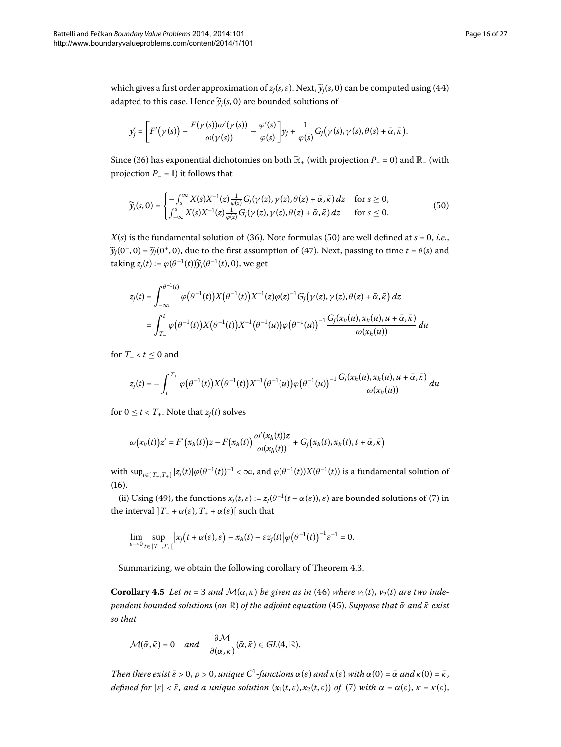which gives a first order approximation of  $z_j(s, \varepsilon)$  $z_j(s, \varepsilon)$  $z_j(s, \varepsilon)$ . Next,  $\widetilde{y}_j(s, 0)$  can be computed using (44) adapted to this case. Hence  $\widetilde{\gamma}_i(s, 0)$  are bounded solutions of

<span id="page-15-0"></span>
$$
y'_j = \left[F'(\gamma(s)) - \frac{F(\gamma(s))\omega'(\gamma(s))}{\omega(\gamma(s))} - \frac{\varphi'(s)}{\varphi(s)}\right]y_j + \frac{1}{\varphi(s)}G_j(\gamma(s),\gamma(s),\theta(s) + \bar{\alpha},\bar{\kappa}).
$$

Since (36) has exponential dichotomies on both  $\mathbb{R}_+$  (with projection  $P_+ = 0$ ) and  $\mathbb{R}_-$  (with projection  $P_$  =  $\mathbb{I}$ ) it follows that

$$
\widetilde{y}_j(s,0) = \begin{cases}\n-\int_s^\infty X(s)X^{-1}(z)\frac{1}{\varphi(z)}G_j(\gamma(z),\gamma(z),\theta(z)+\bar{\alpha},\bar{\kappa})\,dz & \text{for } s \ge 0, \\
\int_{-\infty}^s X(s)X^{-1}(z)\frac{1}{\varphi(z)}G_j(\gamma(z),\gamma(z),\theta(z)+\bar{\alpha},\bar{\kappa})\,dz & \text{for } s \le 0.\n\end{cases}
$$
\n
$$
(50)
$$

 $X(s)$  $X(s)$  is the fundamental solution of (36). Note formulas (50) are well defined at  $s = 0$ , *i.e.*,  $\widetilde{\gamma}_i(0^-, 0) = \widetilde{\gamma}_i(0^+, 0)$  $\widetilde{\gamma}_i(0^-, 0) = \widetilde{\gamma}_i(0^+, 0)$  $\widetilde{\gamma}_i(0^-, 0) = \widetilde{\gamma}_i(0^+, 0)$ , due to the first assumption of (47). Next, passing to time  $t = \theta(s)$  and taking  $z_i(t) := \varphi(\theta^{-1}(t))\widetilde{\gamma}_i(\theta^{-1}(t), 0)$ , we get

$$
z_j(t) = \int_{-\infty}^{\theta^{-1}(t)} \varphi(\theta^{-1}(t)) X(\theta^{-1}(t)) X^{-1}(z) \varphi(z)^{-1} G_j(\gamma(z), \gamma(z), \theta(z) + \bar{\alpha}, \bar{\kappa}) dz
$$
  
= 
$$
\int_{T_-}^t \varphi(\theta^{-1}(t)) X(\theta^{-1}(t)) X^{-1}(\theta^{-1}(u)) \varphi(\theta^{-1}(u))^{-1} \frac{G_j(x_h(u), x_h(u), u + \bar{\alpha}, \bar{\kappa})}{\omega(x_h(u))} du
$$

for  $T_{-} < t \leq 0$  and

$$
z_j(t) = -\int_t^{T_+} \varphi(\theta^{-1}(t)) X(\theta^{-1}(t)) X^{-1}(\theta^{-1}(u)) \varphi(\theta^{-1}(u))^{-1} \frac{G_j(x_h(u), x_h(u), u + \bar{\alpha}, \bar{\kappa})}{\omega(x_h(u))} du
$$

for  $0 \le t < T_+$ . Note that  $z_i(t)$  solves

$$
\omega(x_h(t))z' = F'(x_h(t))z - F(x_h(t))\frac{\omega'(x_h(t))z}{\omega(x_h(t))} + G_j(x_h(t),x_h(t),t+\bar{\alpha},\bar{\kappa})
$$

with  $\sup_{t\in[T_-,T_+]} |z_j(t)|\varphi(\theta^{-1}(t))^{-1} < \infty$ , and  $\varphi(\theta^{-1}(t))X(\theta^{-1}(t))$  is a fundamental solution of  $(16).$  $(16).$  $(16).$ 

<span id="page-15-1"></span>(ii[\)](#page-2-0) Using (49), the functions  $x_j(t, \varepsilon) := z_j(\theta^{-1}(t - \alpha(\varepsilon)), \varepsilon)$  are bounded solutions of (7) in the interval  $]T_{-} + \alpha(\varepsilon), T_{+} + \alpha(\varepsilon)$ [ such that

$$
\lim_{\varepsilon\to 0}\sup_{t\in[T_-,T_+]}|x_j(t+\alpha(\varepsilon),\varepsilon)-x_h(t)-\varepsilon z_j(t)|\varphi(\theta^{-1}(t))^{-1}\varepsilon^{-1}=0.
$$

Summarizing, we obtain the following corollary of Theorem 4[.](#page-14-4)3.

**Corollary 4.5** Let  $m = 3$  and  $\mathcal{M}(\alpha, \kappa)$  $\mathcal{M}(\alpha, \kappa)$  be given as in (46) where  $v_1(t)$ ,  $v_2(t)$  are two inde*pendent bounded solutions* (*on* <sup>R</sup>) *of the adjoint equation* [\(\)](#page-13-1). *Suppose that <sup>α</sup>*¯ *and <sup>κ</sup>*¯ *exist so that*

$$
\mathcal{M}(\bar{\alpha},\bar{\kappa})=0 \quad and \quad \frac{\partial \mathcal{M}}{\partial(\alpha,\kappa)}(\bar{\alpha},\bar{\kappa})\in GL(4,\mathbb{R}).
$$

*Then there exist*  $\bar{\varepsilon} > 0$ ,  $\rho > 0$ , *unique*  $C^1$ -functions  $\alpha(\varepsilon)$  *and*  $\kappa(\varepsilon)$  *with*  $\alpha(0) = \bar{\alpha}$  *and*  $\kappa(0) = \bar{\kappa}$ , *defined for*  $|\varepsilon| < \overline{\varepsilon}$ , *and a unique solution*  $(x_1(t, \varepsilon), x_2(t, \varepsilon))$  $(x_1(t, \varepsilon), x_2(t, \varepsilon))$  *of* (7) *with*  $\alpha = \alpha(\varepsilon)$ ,  $\kappa = \kappa(\varepsilon)$ ,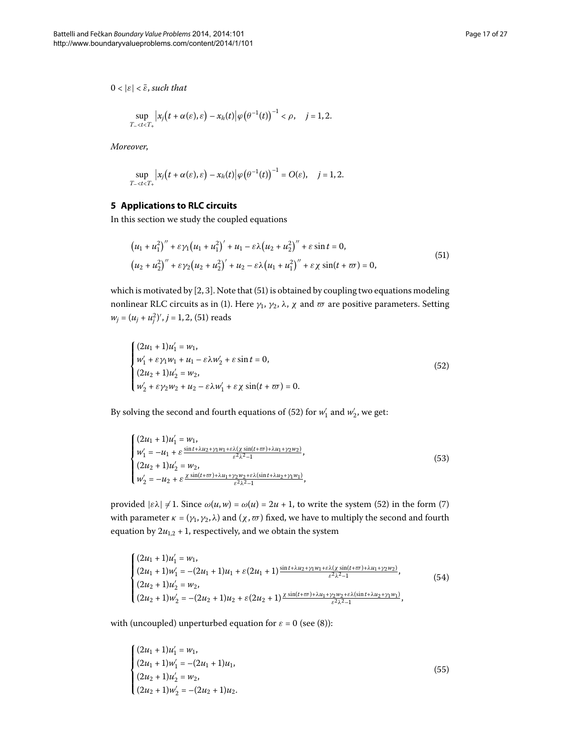$0 < |\varepsilon| < \bar{\varepsilon}$ , *such that* 

$$
\sup_{T_{-}< t
$$

<span id="page-16-0"></span>*Moreover*,

<span id="page-16-1"></span>
$$
\sup_{T_{-} < t < T_{+}} \left| x_{j} \left( t + \alpha(\varepsilon), \varepsilon \right) - x_{h}(t) \right| \varphi \left( \theta^{-1}(t) \right)^{-1} = O(\varepsilon), \quad j = 1, 2.
$$

## **5 Applications to RLC circuits**

In this section we study the coupled equations

<span id="page-16-2"></span>
$$
(u_1 + u_1^2)'' + \varepsilon \gamma_1 (u_1 + u_1^2)' + u_1 - \varepsilon \lambda (u_2 + u_2^2)'' + \varepsilon \sin t = 0,
$$
  

$$
(u_2 + u_2^2)'' + \varepsilon \gamma_2 (u_2 + u_2^2)' + u_2 - \varepsilon \lambda (u_1 + u_1^2)'' + \varepsilon \chi \sin(t + \varpi) = 0,
$$
 (51)

which is motivated by  $[2, 3]$  $[2, 3]$ . Note that  $(51)$  is obtained by coupling two equations modeling nonlinear RLC circuits as in (1[\)](#page-0-2). Here  $γ_1$ ,  $γ_2$ ,  $λ$ ,  $χ$  and  $ω$  are positive parameters. Setting  $w_j = (u_j + u_j^2)'$ ,  $j = 1, 2$ , (51) reads

<span id="page-16-4"></span>
$$
\begin{cases}\n(2u_1 + 1)u'_1 = w_1, \\
w'_1 + \varepsilon \gamma_1 w_1 + u_1 - \varepsilon \lambda w'_2 + \varepsilon \sin t = 0, \\
(2u_2 + 1)u'_2 = w_2, \\
w'_2 + \varepsilon \gamma_2 w_2 + u_2 - \varepsilon \lambda w'_1 + \varepsilon \chi \sin(t + \varpi) = 0.\n\end{cases}
$$
\n(52)

By solving the second and fourth equations of (52) for  $w_1'$  and  $w_2'$ , we get:

$$
\begin{cases}\n(2u_1 + 1)u'_1 = w_1, \n w'_1 = -u_1 + \varepsilon \frac{\sin t + \lambda u_2 + \gamma_1 w_1 + \varepsilon \lambda (\chi \sin(t + \varpi) + \lambda u_1 + \gamma_2 w_2)}{\varepsilon^2 \lambda^2 - 1}, \n(2u_2 + 1)u'_2 = w_2, \n w'_2 = -u_2 + \varepsilon \frac{\chi \sin(t + \varpi) + \lambda u_1 + \gamma_2 w_2 + \varepsilon \lambda (\sin t + \lambda u_2 + \gamma_1 w_1)}{\varepsilon^2 \lambda^2 - 1},\n\end{cases}
$$
\n(53)

provided  $|\epsilon \lambda| \neq 1$ . Since  $\omega(u, w) = \omega(u) = 2u + 1$  $\omega(u, w) = \omega(u) = 2u + 1$  $\omega(u, w) = \omega(u) = 2u + 1$ , to write the system (52) in the form (7) with parameter  $κ = (γ<sub>1</sub>, γ<sub>2</sub>, λ)$  and  $(χ, ω)$  fixed, we have to multiply the second and fourth equation by  $2u_{1,2} + 1$ , respectively, and we obtain the system

<span id="page-16-3"></span>
$$
\begin{cases}\n(2u_1 + 1)u'_1 = w_1, \\
(2u_1 + 1)w'_1 = -(2u_1 + 1)u_1 + \varepsilon(2u_1 + 1)^{\frac{\sin t + \lambda u_2 + \gamma_1 w_1 + \varepsilon \lambda(x)\sin(t + \varpi) + \lambda u_1 + \gamma_2 w_2)}{\varepsilon^2 \lambda^2 - 1}}, \\
(2u_2 + 1)u'_2 = w_2, \\
(2u_2 + 1)w'_2 = -(2u_2 + 1)u_2 + \varepsilon(2u_2 + 1)^{\frac{\sin(t + \varpi) + \lambda u_1 + \gamma_2 w_2 + \varepsilon \lambda(\sin t + \lambda u_2 + \gamma_1 w_1)}{\varepsilon^2 \lambda^2 - 1}},\n\end{cases}
$$
\n(54)

with (uncoupled[\)](#page-2-2) unperturbed equation for  $\varepsilon = 0$  (see (8)):

$$
\begin{cases}\n(2u_1 + 1)u'_1 = w_1, \\
(2u_1 + 1)w'_1 = -(2u_1 + 1)u_1, \\
(2u_2 + 1)u'_2 = w_2, \\
(2u_2 + 1)w'_2 = -(2u_2 + 1)u_2.\n\end{cases}
$$
\n(55)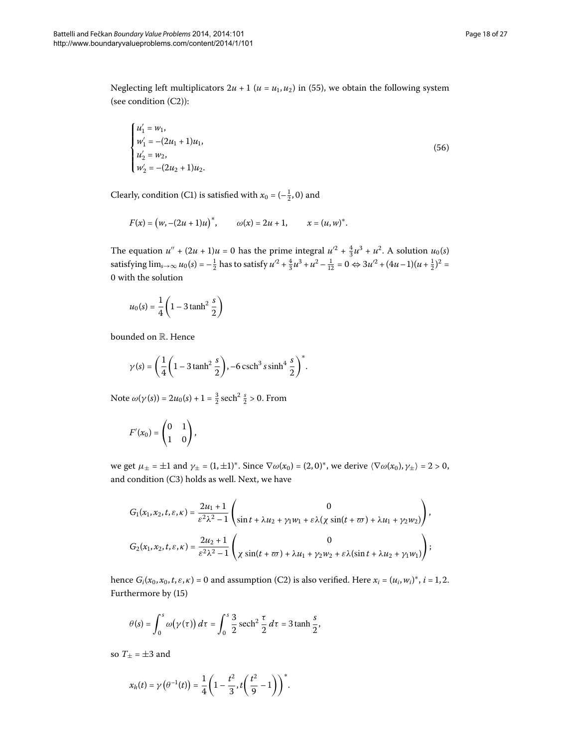Neglecting left multiplicators  $2u + 1$  ( $u = u_1, u_2$ [\)](#page-16-3) in (55), we obtain the following system (see condition  $(C2)$ ):

$$
\begin{cases}\n u_1' = w_1, \\
 w_1' = -(2u_1 + 1)u_1, \\
 u_2' = w_2, \\
 w_2' = -(2u_2 + 1)u_2.\n\end{cases}
$$
\n(56)

Clearly, condition (C1) is satisfied with  $x_0 = (-\frac{1}{2}, 0)$  and

$$
F(x) = (w, -(2u + 1)u)^*, \qquad \omega(x) = 2u + 1, \qquad x = (u, w)^*.
$$

The equation  $u'' + (2u + 1)u = 0$  has the prime integral  $u'^2 + \frac{4}{3}u^3 + u^2$ . A solution  $u_0(s)$ satisfying lim<sub>s→∞</sub>  $u_0(s) = -\frac{1}{2}$  has to satisfy  $u'^2 + \frac{4}{3}u^3 + u^2 - \frac{1}{12} = 0 \Leftrightarrow 3u'^2 + (4u - 1)(u + \frac{1}{2})^2 =$ 0 with the solution

$$
u_0(s) = \frac{1}{4} \left( 1 - 3 \tanh^2 \frac{s}{2} \right)
$$

bounded on R. Hence

$$
\gamma(s) = \left(\frac{1}{4}\left(1 - 3\tanh^2\frac{s}{2}\right), -6\operatorname{csch}^3 s \sinh^4\frac{s}{2}\right)^*.
$$

Note  $ω(γ(s)) = 2u_0(s) + 1 = \frac{3}{2}$  sech<sup>2</sup>  $\frac{s}{2} > 0$ . From

$$
F'(x_0) = \begin{pmatrix} 0 & 1 \\ 1 & 0 \end{pmatrix},
$$

we get  $\mu_{\pm} = \pm 1$  and  $\gamma_{\pm} = (1, \pm 1)^*$ . Since  $\nabla \omega(x_0) = (2, 0)^*$ , we derive  $\langle \nabla \omega(x_0), \gamma_{\pm} \rangle = 2 > 0$ , and condition (C3) holds as well. Next, we have

$$
\begin{split} G_1(x_1,x_2,t,\varepsilon,\kappa) &= \frac{2u_1+1}{\varepsilon^2\lambda^2-1}\begin{pmatrix} 0 \\ \sin t + \lambda u_2 + \gamma_1 w_1 + \varepsilon\lambda (\chi\sin(t+\varpi) + \lambda u_1 + \gamma_2 w_2) \end{pmatrix}, \\ G_2(x_1,x_2,t,\varepsilon,\kappa) &= \frac{2u_2+1}{\varepsilon^2\lambda^2-1}\begin{pmatrix} 0 \\ \chi\sin(t+\varpi) + \lambda u_1 + \gamma_2 w_2 + \varepsilon\lambda (\sin t + \lambda u_2 + \gamma_1 w_1) \end{pmatrix}; \end{split}
$$

hence  $G_i(x_0, x_0, t, \varepsilon, \kappa) = 0$  and assumption (C2) is also verified. Here  $x_i = (u_i, w_i)^*$ ,  $i = 1, 2$ . Furthermore by [\(](#page-4-5)15)

$$
\theta(s) = \int_0^s \omega(\gamma(\tau)) d\tau = \int_0^s \frac{3}{2} \operatorname{sech}^2 \frac{\tau}{2} d\tau = 3 \tanh \frac{s}{2},
$$

so  $T_+ = \pm 3$  and

$$
x_h(t) = \gamma(\theta^{-1}(t)) = \frac{1}{4}\left(1 - \frac{t^2}{3}, t\left(\frac{t^2}{9} - 1\right)\right)^*.
$$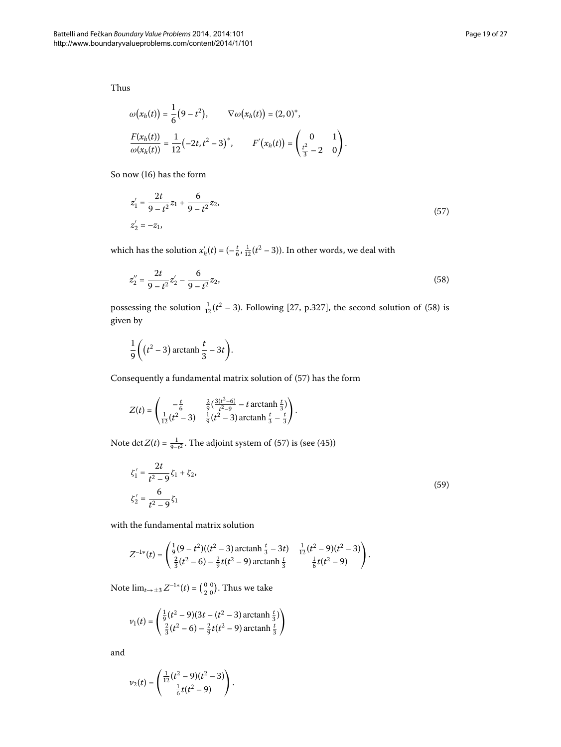Thus

<span id="page-18-1"></span>
$$
\omega(x_h(t)) = \frac{1}{6}(9-t^2), \qquad \nabla \omega(x_h(t)) = (2,0)^*,
$$
  

$$
\frac{F(x_h(t))}{\omega(x_h(t))} = \frac{1}{12}(-2t,t^2-3)^*, \qquad F'(x_h(t)) = \begin{pmatrix} 0 & 1\\ \frac{t^2}{3} - 2 & 0 \end{pmatrix}.
$$

So now [\(](#page-4-1)16) has the form

<span id="page-18-0"></span>
$$
z'_{1} = \frac{2t}{9 - t^{2}} z_{1} + \frac{6}{9 - t^{2}} z_{2},
$$
  
\n
$$
z'_{2} = -z_{1},
$$
\n(57)

which has the solution  $x'_h(t) = \left(-\frac{t}{6}, \frac{1}{12}(t^2 - 3)\right)$ . In other words, we deal with

$$
z_2'' = \frac{2t}{9 - t^2} z_2' - \frac{6}{9 - t^2} z_2,\tag{58}
$$

possessing the solution  $\frac{1}{12}(t^2 - 3)$  $\frac{1}{12}(t^2 - 3)$  $\frac{1}{12}(t^2 - 3)$ . Following [27[,](#page-26-14) p.327], the second solution of (58) is given by

$$
\frac{1}{9}\bigg(\big(t^2-3\big)\arctanh\frac{t}{3}-3t\bigg).
$$

Consequently a fundamental matrix solution of  $(57)$  $(57)$  has the form

$$
Z(t) = \begin{pmatrix} -\frac{t}{6} & \frac{2}{9}(\frac{3(t^2-6)}{t^2-9} - t \operatorname{arctanh} \frac{t}{3}) \\ \frac{1}{12}(t^2-3) & \frac{1}{9}(t^2-3) \operatorname{arctanh} \frac{t}{3} - \frac{t}{3} \end{pmatrix}.
$$

Note det  $Z(t) = \frac{1}{9-t^2}$  $Z(t) = \frac{1}{9-t^2}$  $Z(t) = \frac{1}{9-t^2}$ . The adjoint system of (57) is (see (45))

$$
\zeta_1' = \frac{2t}{t^2 - 9} \zeta_1 + \zeta_2,
$$
  
\n
$$
\zeta_2' = \frac{6}{t^2 - 9} \zeta_1
$$
\n(59)

with the fundamental matrix solution

$$
Z^{-1*}(t) = \begin{pmatrix} \frac{1}{9}(9-t^2)((t^2-3)\operatorname{arctanh}\frac{t}{3}-3t) & \frac{1}{12}(t^2-9)(t^2-3) \\ \frac{2}{3}(t^2-6)-\frac{2}{9}t(t^2-9)\operatorname{arctanh}\frac{t}{3} & \frac{1}{6}t(t^2-9) \end{pmatrix}.
$$

Note  $\lim_{t\to\pm 3} Z^{-1*}(t) = \left(\begin{smallmatrix} 0 & 0 \\ 2 & 0 \end{smallmatrix}\right)$  $\binom{0}{2\ 0}$ . Thus we take

$$
\nu_1(t) = \begin{pmatrix} \frac{1}{9}(t^2 - 9)(3t - (t^2 - 3) \arctanh \frac{t}{3}) \\ \frac{2}{3}(t^2 - 6) - \frac{2}{9}t(t^2 - 9) \arctanh \frac{t}{3} \end{pmatrix}
$$

and

$$
\nu_2(t) = \begin{pmatrix} \frac{1}{12}(t^2 - 9)(t^2 - 3) \\ \frac{1}{6}t(t^2 - 9) \end{pmatrix}.
$$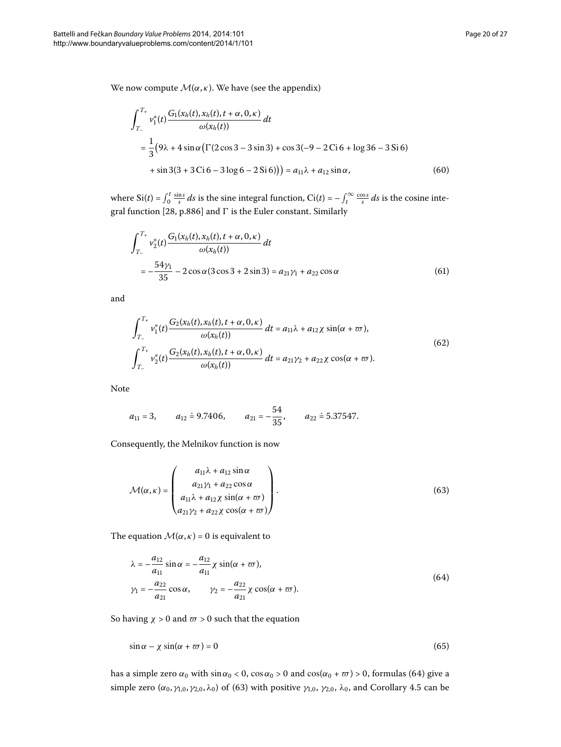We now compute  $\mathcal{M}(\alpha,\kappa)$ . We have (see the appendix)

<span id="page-19-3"></span>
$$
\int_{T_{-}}^{T_{+}} v_{1}^{*}(t) \frac{G_{1}(x_{h}(t), x_{h}(t), t + \alpha, 0, \kappa)}{\omega(x_{h}(t))} dt
$$
\n
$$
= \frac{1}{3} (9\lambda + 4 \sin \alpha (\Gamma(2 \cos 3 - 3 \sin 3) + \cos 3(-9 - 2 \cos 6 + \log 36 - 3 \sin 6))
$$
\n
$$
+ \sin 3(3 + 3 \cos 6 - 3 \log 6 - 2 \sin 6)) = a_{11}\lambda + a_{12} \sin \alpha,
$$
\n(60)

where  $\text{Si}(t) = \int_0^t \frac{\sin s}{s} ds$  is the sine integral function,  $\text{Ci}(t) = -\int_t^\infty \frac{\cos s}{s} ds$  is the cosine inte-gral function [28[,](#page-26-15) p.886] and  $\Gamma$  is the Euler constant. Similarly

<span id="page-19-5"></span><span id="page-19-4"></span>
$$
\int_{T_{-}}^{T_{+}} v_{2}^{*}(t) \frac{G_{1}(x_{h}(t), x_{h}(t), t + \alpha, 0, \kappa)}{\omega(x_{h}(t))} dt
$$
\n
$$
= -\frac{54\gamma_{1}}{35} - 2\cos\alpha (3\cos 3 + 2\sin 3) = a_{21}\gamma_{1} + a_{22}\cos\alpha
$$
\n(61)

and

$$
\int_{T_{-}}^{T_{+}} v_{1}^{*}(t) \frac{G_{2}(x_{h}(t), x_{h}(t), t + \alpha, 0, \kappa)}{\omega(x_{h}(t))} dt = a_{11}\lambda + a_{12}\chi \sin(\alpha + \varpi),
$$
\n
$$
\int_{T_{-}}^{T_{+}} v_{2}^{*}(t) \frac{G_{2}(x_{h}(t), x_{h}(t), t + \alpha, 0, \kappa)}{\omega(x_{h}(t))} dt = a_{21}\gamma_{2} + a_{22}\chi \cos(\alpha + \varpi).
$$
\n(62)

Note

<span id="page-19-1"></span>
$$
a_{11} = 3
$$
,  $a_{12} = 9.7406$ ,  $a_{21} = -\frac{54}{35}$ ,  $a_{22} = 5.37547$ .

Consequently, the Melnikov function is now

<span id="page-19-0"></span>
$$
\mathcal{M}(\alpha,\kappa) = \begin{pmatrix} a_{11}\lambda + a_{12}\sin\alpha \\ a_{21}\gamma_1 + a_{22}\cos\alpha \\ a_{11}\lambda + a_{12}\chi\sin(\alpha + \varpi) \\ a_{21}\gamma_2 + a_{22}\chi\cos(\alpha + \varpi) \end{pmatrix}.
$$
 (63)

The equation  $\mathcal{M}(\alpha,\kappa) = 0$  is equivalent to

<span id="page-19-2"></span>
$$
\lambda = -\frac{a_{12}}{a_{11}} \sin \alpha = -\frac{a_{12}}{a_{11}} \chi \sin(\alpha + \varpi),
$$
  

$$
\gamma_1 = -\frac{a_{22}}{a_{21}} \cos \alpha, \qquad \gamma_2 = -\frac{a_{22}}{a_{21}} \chi \cos(\alpha + \varpi).
$$
 (64)

So having  $\chi > 0$  and  $\varpi > 0$  such that the equation

$$
\sin \alpha - \chi \sin(\alpha + \varpi) = 0 \tag{65}
$$

has a simple zero  $\alpha_0$  with  $\sin \alpha_0 < 0$ ,  $\cos \alpha_0 > 0$  and  $\cos(\alpha_0 + \varpi) > 0$  $\cos(\alpha_0 + \varpi) > 0$  $\cos(\alpha_0 + \varpi) > 0$ , formulas (64) give a simple zero  $(\alpha_0, \gamma_{1,0}, \gamma_{2,0}, \lambda_0)$  of (63) with positive  $\gamma_{1,0}, \gamma_{2,0}, \lambda_0$ , and Corollary 4[.](#page-15-1)5 can be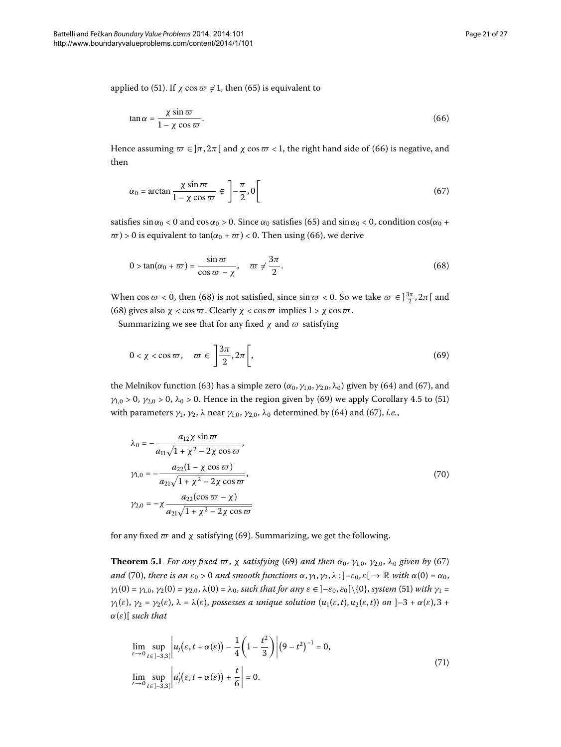applied to [\(](#page-19-2)51). If  $\chi \cos \varpi \neq 1$ , then (65) is equivalent to

<span id="page-20-2"></span><span id="page-20-0"></span>
$$
\tan \alpha = \frac{\chi \sin \varpi}{1 - \chi \cos \varpi}.
$$
\n(66)

Hence assuming  $\omega \in ]\pi, 2\pi[$  and  $\chi \cos \omega < 1$ , the right hand side of [\(](#page-20-0)66) is negative, and then

<span id="page-20-1"></span>
$$
\alpha_0 = \arctan\frac{\chi\sin\varpi}{1-\chi\cos\varpi} \in \left]-\frac{\pi}{2}, 0\right[ \tag{67}
$$

satisfies  $\sin \alpha_0 < 0$  and  $\cos \alpha_0 > 0$ . Since  $\alpha_0$  satisfies (65) and  $\sin \alpha_0 < 0$ , condition  $\cos(\alpha_0 + \alpha_0)$  $\varpi$ ) > 0 is equivalent to tan[\(](#page-20-0) $\alpha_0 + \varpi$ ) < 0. Then using (66), we derive

<span id="page-20-3"></span>
$$
0 > \tan(\alpha_0 + \varpi) = \frac{\sin \varpi}{\cos \varpi - \chi}, \quad \varpi \neq \frac{3\pi}{2}.
$$
 (68)

When  $\cos \varpi < 0$ , then (68) is not satisfied, since  $\sin \varpi < 0$ . So we take  $\varpi \in ]\frac{3\pi}{2}, 2\pi[$  and (68) gives also  $\chi < \cos \varpi$ . Clearly  $\chi < \cos \varpi$  implies  $1 > \chi \cos \varpi$ .

Summarizing we see that for any fixed  $\chi$  and  $\varpi$  satisfying

<span id="page-20-4"></span>
$$
0 < \chi < \cos \varpi \,, \quad \varpi \in \left] \frac{3\pi}{2}, 2\pi \right[,\tag{69}
$$

the Melnikov function [\(](#page-20-2)63) has a simple zero ( $\alpha_0$ ,  $\gamma_{1,0}$ ,  $\gamma_{2,0}$ ,  $\lambda_0$ ) given by (64) and (67), and *γ*<sub>1,0</sub> > 0, *γ*<sub>2,0</sub> > 0,  $\lambda$ <sub>0</sub> > 0[.](#page-15-1) Hence in the region given by [\(](#page-16-1)69) we apply Corollary 4.5 to (51) with parameters  $γ_1$ ,  $γ_2$ ,  $λ$  near  $γ_{1,0}$ ,  $γ_{2,0}$ ,  $λ_0$  determined by [\(](#page-20-2)64) and (67), *i.e.*,

<span id="page-20-6"></span>
$$
\lambda_0 = -\frac{a_{12}\chi \sin \varpi}{a_{11}\sqrt{1 + \chi^2 - 2\chi \cos \varpi}}, \n\gamma_{1,0} = -\frac{a_{22}(1 - \chi \cos \varpi)}{a_{21}\sqrt{1 + \chi^2 - 2\chi \cos \varpi}}, \n\gamma_{2,0} = -\chi \frac{a_{22}(\cos \varpi - \chi)}{a_{21}\sqrt{1 + \chi^2 - 2\chi \cos \varpi}} \tag{70}
$$

for any fixed  $\varpi$  and  $\chi$  satisfying (69). Summarizing, we get the following.

**Theorem 5.1** *For any fixed*  $\varpi$ ,  $\chi$  *satisfying* (69) *and then*  $\alpha_0$ ,  $\gamma_{1,0}$ ,  $\gamma_{2,0}$ ,  $\lambda_0$  given by (67) *and* [\(](#page-20-4)70), *there is an*  $\varepsilon_0 > 0$  *and smooth functions*  $\alpha$ ,  $\gamma_1$ ,  $\gamma_2$ ,  $\lambda$  : ] $-\varepsilon_0$ ,  $\varepsilon$ [ $\rightarrow \mathbb{R}$  with  $\alpha(0) = \alpha_0$ , *γ*<sub>1</sub>(0[\)](#page-16-1) = *γ*<sub>1,0</sub>, *γ*<sub>2</sub>(0) = *γ*<sub>2,0</sub>,  $λ$ (0) =  $λ$ <sub>0</sub>, such that for any  $ε ∈ ]-ε$ <sub>0</sub>,  $ε$ <sub>0</sub>[\{0}, *system* (51) *with γ*<sub>1</sub> = *γ*<sub>1</sub>(*ε*), *γ*<sub>2</sub> = *γ*<sub>2</sub>(*ε*),  $λ = λ(ε)$ , possesses *a* unique solution  $(u_1(ε, t), u_2(ε, t))$  on  $]-3 + α(ε), 3 +$ *α*(*ε*)[ *such that*

<span id="page-20-5"></span>
$$
\lim_{\varepsilon \to 0} \sup_{t \in ]-3,3[} |u_j(\varepsilon, t + \alpha(\varepsilon)) - \frac{1}{4} \left( 1 - \frac{t^2}{3} \right) | (9 - t^2)^{-1} = 0,
$$
\n
$$
\lim_{\varepsilon \to 0} \sup_{t \in ]-3,3[} |u'_j(\varepsilon, t + \alpha(\varepsilon)) + \frac{t}{6} | = 0.
$$
\n(71)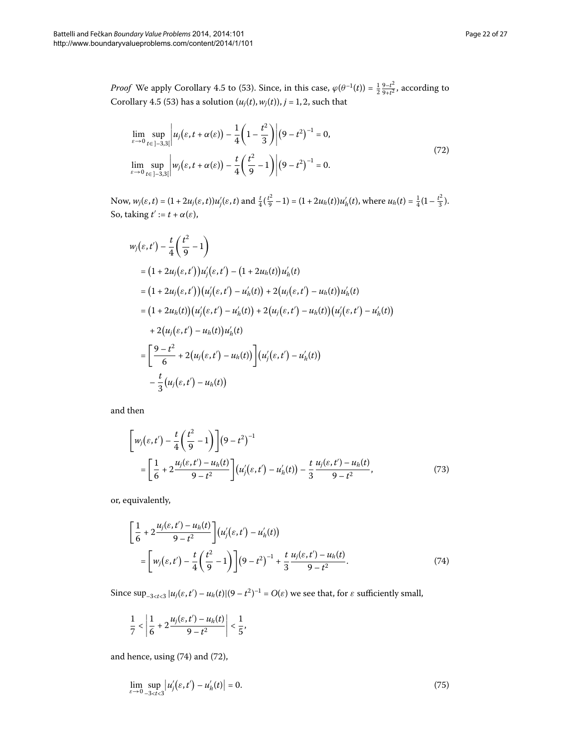*Proof* We apply Corollary 4[.](#page-15-1)5 to (53[\)](#page-16-4). Since, in this case,  $\varphi(\theta^{-1}(t)) = \frac{1}{2} \frac{9 - t^2}{9 + t^2}$ , according to Corollary 4[.](#page-15-1)5 (53[\)](#page-16-4) has a solution  $(u_i(t), w_i(t))$ ,  $j = 1, 2$ , such that

<span id="page-21-1"></span>
$$
\lim_{\varepsilon \to 0} \sup_{t \in ]-3,3[} u_j(\varepsilon, t + \alpha(\varepsilon)) - \frac{1}{4} \left( 1 - \frac{t^2}{3} \right) |(9 - t^2)^{-1} = 0,
$$
\n
$$
\lim_{\varepsilon \to 0} \sup_{t \in ]-3,3[} w_j(\varepsilon, t + \alpha(\varepsilon)) - \frac{t}{4} \left( \frac{t^2}{9} - 1 \right) |(9 - t^2)^{-1} = 0.
$$
\n(72)

Now,  $w_j(\varepsilon, t) = (1 + 2u_j(\varepsilon, t))u'_j(\varepsilon, t)$  and  $\frac{t}{4}(\frac{t^2}{9} - 1) = (1 + 2u_h(t))u'_h(t)$ , where  $u_h(t) = \frac{1}{4}(1 - \frac{t^2}{3})$ . So, taking  $t' := t + \alpha(\varepsilon)$ ,

$$
w_j(\varepsilon, t') - \frac{t}{4} \left( \frac{t^2}{9} - 1 \right)
$$
  
=  $(1 + 2u_j(\varepsilon, t'))u'_j(\varepsilon, t') - (1 + 2u_h(t))u'_h(t)$   
=  $(1 + 2u_j(\varepsilon, t'))(u'_j(\varepsilon, t') - u'_h(t)) + 2(u_j(\varepsilon, t') - u_h(t))u'_h(t)$   
=  $(1 + 2u_h(t))(u'_j(\varepsilon, t') - u'_h(t)) + 2(u_j(\varepsilon, t') - u_h(t))(u'_j(\varepsilon, t') - u'_h(t))$   
+  $2(u_j(\varepsilon, t') - u_h(t))u'_h(t)$   
=  $\left[ \frac{9 - t^2}{6} + 2(u_j(\varepsilon, t') - u_h(t)) \right] (u'_j(\varepsilon, t') - u'_h(t))$   
-  $\frac{t}{3}(u_j(\varepsilon, t') - u_h(t))$ 

and then

<span id="page-21-3"></span><span id="page-21-0"></span>
$$
\left[w_j(\varepsilon, t') - \frac{t}{4} \left(\frac{t^2}{9} - 1\right)\right] (9 - t^2)^{-1}
$$
\n
$$
= \left[\frac{1}{6} + 2\frac{u_j(\varepsilon, t') - u_h(t)}{9 - t^2}\right] (u'_j(\varepsilon, t') - u'_h(t)) - \frac{t}{3} \frac{u_j(\varepsilon, t') - u_h(t)}{9 - t^2},\tag{73}
$$

or, equivalently,

$$
\left[\frac{1}{6} + 2\frac{u_j(\varepsilon, t') - u_h(t)}{9 - t^2}\right](u'_j(\varepsilon, t') - u'_h(t))
$$
\n
$$
= \left[w_j(\varepsilon, t') - \frac{t}{4}\left(\frac{t^2}{9} - 1\right)\right](9 - t^2)^{-1} + \frac{t}{3}\frac{u_j(\varepsilon, t') - u_h(t)}{9 - t^2}.
$$
\n(74)

Since  $\sup_{-3 < t < 3} |u_j(\varepsilon, t') - u_h(t)| (9 - t^2)^{-1} = O(\varepsilon)$  we see that, for  $\varepsilon$  sufficiently small,

<span id="page-21-2"></span>
$$
\frac{1}{7} < \left| \frac{1}{6} + 2 \frac{u_j(\varepsilon, t') - u_h(t)}{9 - t^2} \right| < \frac{1}{5},
$$

and hence, using  $(74)$  $(74)$  and  $(72)$ ,

$$
\lim_{\varepsilon \to 0} \sup_{-3 < t < 3} |u_j'(\varepsilon, t') - u_h'(t)| = 0. \tag{75}
$$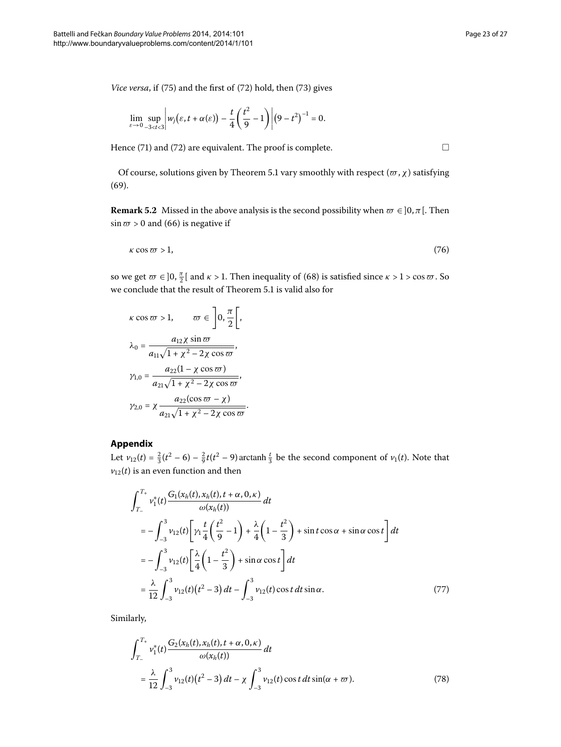$\Box$ 

*Vice versa*, if [\(](#page-21-3)75) and the first of (72) hold, then (73) gives

$$
\lim_{\varepsilon\to 0}\sup_{-3
$$

Hence [\(](#page-21-1)71) and (72) are equivalent. The proof is complete.

Of course, solutions given by Theorem 5[.](#page-20-6)1 vary smoothly with respect ( $\varpi$ ,  $\chi$ ) satisfying  $(69).$ 

**Remark 5.2** Missed in the above analysis is the second possibility when  $\varpi \in ]0,\pi[$ . Then  $\sin \varpi > 0$  and (66) is negative if

$$
\kappa \cos \varpi > 1, \tag{76}
$$

so we get  $\varpi \in ]0, \frac{\pi}{2}[$  and  $\kappa > 1$ . Then inequality of (68[\)](#page-20-1) is satisfied since  $\kappa > 1 > \cos \varpi$ . So we conclude that the result of Theorem 5[.](#page-20-6)1 is valid also for

$$
\kappa \cos \varpi > 1, \qquad \varpi \in \left] 0, \frac{\pi}{2} \right[,
$$

$$
\lambda_0 = \frac{a_{12} \chi \sin \varpi}{a_{11} \sqrt{1 + \chi^2 - 2\chi \cos \varpi}},
$$

$$
\gamma_{1,0} = \frac{a_{22} (1 - \chi \cos \varpi)}{a_{21} \sqrt{1 + \chi^2 - 2\chi \cos \varpi}},
$$

$$
\gamma_{2,0} = \chi \frac{a_{22} (\cos \varpi - \chi)}{a_{21} \sqrt{1 + \chi^2 - 2\chi \cos \varpi}}.
$$

## **Appendix**

Let  $v_{12}(t) = \frac{2}{3}(t^2 - 6) - \frac{2}{9}t(t^2 - 9)$  arctanh  $\frac{t}{3}$  be the second component of  $v_1(t)$ . Note that  $v_{12}(t)$  is an even function and then

<span id="page-22-0"></span>
$$
\int_{T_{-}}^{T_{+}} v_{1}^{*}(t) \frac{G_{1}(x_{h}(t), x_{h}(t), t + \alpha, 0, \kappa)}{\omega(x_{h}(t))} dt
$$
\n
$$
= -\int_{-3}^{3} v_{12}(t) \left[ \gamma_{1} \frac{t}{4} \left( \frac{t^{2}}{9} - 1 \right) + \frac{\lambda}{4} \left( 1 - \frac{t^{2}}{3} \right) + \sin t \cos \alpha + \sin \alpha \cos t \right] dt
$$
\n
$$
= -\int_{-3}^{3} v_{12}(t) \left[ \frac{\lambda}{4} \left( 1 - \frac{t^{2}}{3} \right) + \sin \alpha \cos t \right] dt
$$
\n
$$
= \frac{\lambda}{12} \int_{-3}^{3} v_{12}(t) (t^{2} - 3) dt - \int_{-3}^{3} v_{12}(t) \cos t dt \sin \alpha.
$$
\n(77)

Similarly,

<span id="page-22-1"></span>
$$
\int_{T_{-}}^{T_{+}} v_{1}^{*}(t) \frac{G_{2}(x_{h}(t), x_{h}(t), t + \alpha, 0, \kappa)}{\omega(x_{h}(t))} dt
$$
\n
$$
= \frac{\lambda}{12} \int_{-3}^{3} v_{12}(t) (t^{2} - 3) dt - \chi \int_{-3}^{3} v_{12}(t) \cos t dt \sin(\alpha + \varpi). \tag{78}
$$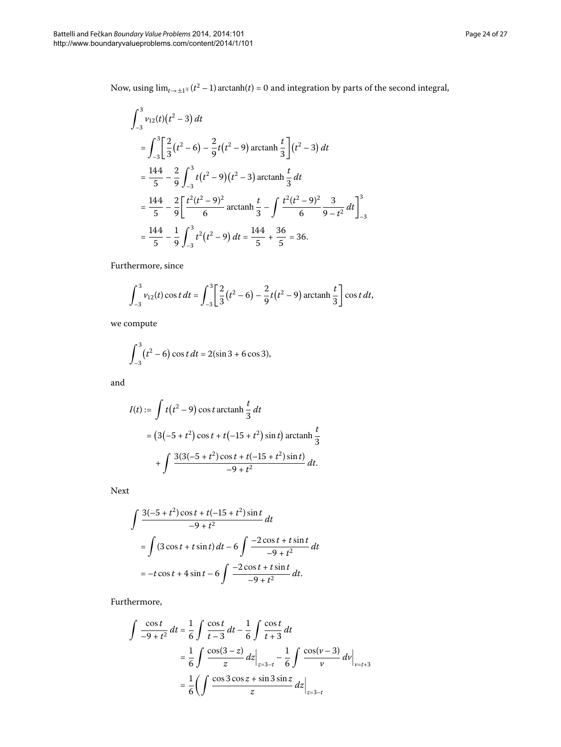Now, using  $\lim_{t\to\pm 1^+} (t^2 - 1)$  arctanh(*t*) = 0 and integration by parts of the second integral,

$$
\int_{-3}^{3} v_{12}(t)(t^2 - 3) dt
$$
  
= 
$$
\int_{-3}^{3} \left[ \frac{2}{3} (t^2 - 6) - \frac{2}{9} t (t^2 - 9) \arctan \frac{t}{3} \right] (t^2 - 3) dt
$$
  
= 
$$
\frac{144}{5} - \frac{2}{9} \int_{-3}^{3} t (t^2 - 9) (t^2 - 3) \arctan \frac{t}{3} dt
$$
  
= 
$$
\frac{144}{5} - \frac{2}{9} \left[ \frac{t^2 (t^2 - 9)^2}{6} \arctan \frac{t}{3} - \int \frac{t^2 (t^2 - 9)^2}{6} \frac{3}{9 - t^2} dt \right]_{-3}^{3}
$$
  
= 
$$
\frac{144}{5} - \frac{1}{9} \int_{-3}^{3} t^2 (t^2 - 9) dt = \frac{144}{5} + \frac{36}{5} = 36.
$$

Furthermore, since

$$
\int_{-3}^{3} v_{12}(t) \cos t \, dt = \int_{-3}^{3} \left[ \frac{2}{3} (t^2 - 6) - \frac{2}{9} t (t^2 - 9) \arctan \frac{t}{3} \right] \cos t \, dt,
$$

we compute

$$
\int_{-3}^{3} (t^2 - 6) \cos t \, dt = 2(\sin 3 + 6 \cos 3),
$$

and

$$
I(t) := \int t(t^2 - 9) \cos t \arctan \frac{t}{3} dt
$$
  
=  $(3(-5 + t^2) \cos t + t(-15 + t^2) \sin t) \arctan \frac{t}{3}$   
+  $\int \frac{3(3(-5 + t^2) \cos t + t(-15 + t^2) \sin t)}{-9 + t^2} dt.$ 

Next

$$
\int \frac{3(-5+t^2)\cos t + t(-15+t^2)\sin t}{-9+t^2} dt
$$
  
= 
$$
\int (3\cos t + t\sin t) dt - 6 \int \frac{-2\cos t + t\sin t}{-9+t^2} dt
$$
  
= 
$$
-t\cos t + 4\sin t - 6 \int \frac{-2\cos t + t\sin t}{-9+t^2} dt.
$$

Furthermore,

$$
\int \frac{\cos t}{-9 + t^2} dt = \frac{1}{6} \int \frac{\cos t}{t - 3} dt - \frac{1}{6} \int \frac{\cos t}{t + 3} dt
$$
  

$$
= \frac{1}{6} \int \frac{\cos(3 - z)}{z} dz \Big|_{z = 3 - t} - \frac{1}{6} \int \frac{\cos(v - 3)}{v} dv \Big|_{v = t + 3}
$$
  

$$
= \frac{1}{6} \left( \int \frac{\cos 3 \cos z + \sin 3 \sin z}{z} dz \Big|_{z = 3 - t} \right)
$$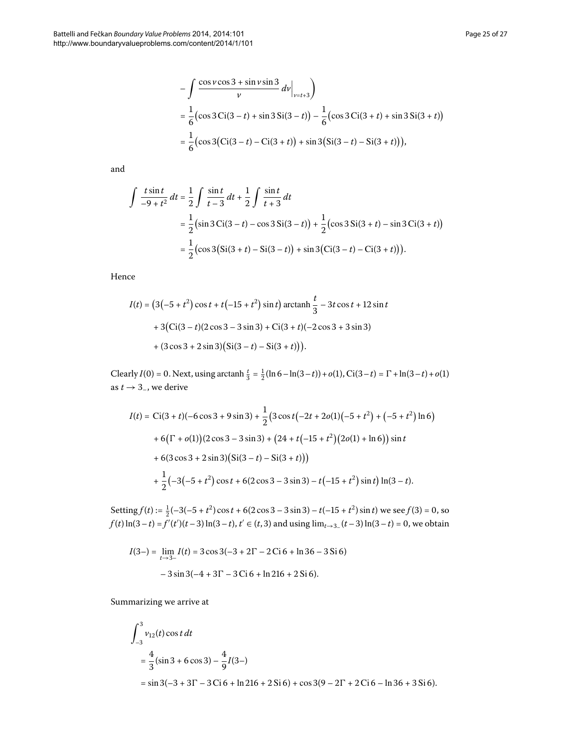$$
-\int \frac{\cos v \cos 3 + \sin v \sin 3}{v} dv \Big|_{v=t+3}\n= \frac{1}{6} \left( \cos 3 \text{ Ci} (3-t) + \sin 3 \text{ Si} (3-t) \right) - \frac{1}{6} \left( \cos 3 \text{ Ci} (3+t) + \sin 3 \text{ Si} (3+t) \right) = \frac{1}{6} \left( \cos 3 (\text{Ci} (3-t) - \text{Ci} (3+t)) + \sin 3 (\text{Si} (3-t) - \text{Si} (3+t)) \right),
$$

and

$$
\int \frac{t \sin t}{-9 + t^2} dt = \frac{1}{2} \int \frac{\sin t}{t - 3} dt + \frac{1}{2} \int \frac{\sin t}{t + 3} dt
$$
  
=  $\frac{1}{2} (\sin 3 \text{ Ci}(3 - t) - \cos 3 \text{ Si}(3 - t)) + \frac{1}{2} (\cos 3 \text{ Si}(3 + t) - \sin 3 \text{ Ci}(3 + t))$   
=  $\frac{1}{2} (\cos 3 (\text{Si}(3 + t) - \text{Si}(3 - t)) + \sin 3 (\text{Ci}(3 - t) - \text{Ci}(3 + t))).$ 

Hence

$$
I(t) = (3(-5 + t2) cos t + t(-15 + t2) sin t) arctanh \frac{t}{3} - 3t cos t + 12 sin t
$$
  
+ 3(Ci(3 – t)(2 cos 3 – 3 sin 3) + Ci(3 + t)(-2 cos 3 + 3 sin 3)  
+ (3 cos 3 + 2 sin 3)(Si(3 – t) – Si(3 + t))).

Clearly  $I(0) = 0$ . Next, using arctanh  $\frac{t}{3} = \frac{1}{2}(\ln 6 - \ln(3 - t)) + o(1)$ , Ci $(3 - t) = \Gamma + \ln(3 - t) + o(1)$ as  $t \rightarrow 3<sub>-</sub>$ , we derive

$$
I(t) = \text{Ci}(3+t)(-6\cos 3+9\sin 3) + \frac{1}{2}(3\cos t(-2t+20(1)(-5+t^2)+(-5+t^2)\ln 6)
$$
  
+6(\Gamma + o(1))(2\cos 3 - 3\sin 3) + (24 + t(-15+t^2)(2o(1) + \ln 6))\sin t  
+6(3\cos 3+2\sin 3)(\text{Si}(3-t) - \text{Si}(3+t)))  
+ $\frac{1}{2}(-3(-5+t^2)\cos t + 6(2\cos 3 - 3\sin 3) - t(-15+t^2)\sin t)\ln(3-t).$ 

Setting  $f(t) := \frac{1}{2}(-3(-5 + t^2)\cos t + 6(2\cos 3 - 3\sin 3) - t(-15 + t^2)\sin t$  we see  $f(3) = 0$ , so  $f(t) \ln(3-t) = f'(t')(t-3) \ln(3-t)$ ,  $t' \in (t, 3)$  and using  $\lim_{t \to 3-} (t-3) \ln(3-t) = 0$ , we obtain

$$
I(3-) = \lim_{t \to 3-} I(t) = 3\cos 3(-3 + 2\Gamma - 2\operatorname{Ci} 6 + \ln 36 - 3\operatorname{Si} 6)
$$

$$
-3\sin 3(-4 + 3\Gamma - 3\operatorname{Ci} 6 + \ln 216 + 2\operatorname{Si} 6).
$$

Summarizing we arrive at

$$
\int_{-3}^{3} v_{12}(t) \cos t \, dt
$$
\n
$$
= \frac{4}{3} (\sin 3 + 6 \cos 3) - \frac{4}{9} I(3-)
$$
\n
$$
= \sin 3(-3 + 3\Gamma - 3\operatorname{Ci} 6 + \ln 216 + 2\operatorname{Si} 6) + \cos 3(9 - 2\Gamma + 2\operatorname{Ci} 6 - \ln 36 + 3\operatorname{Si} 6).
$$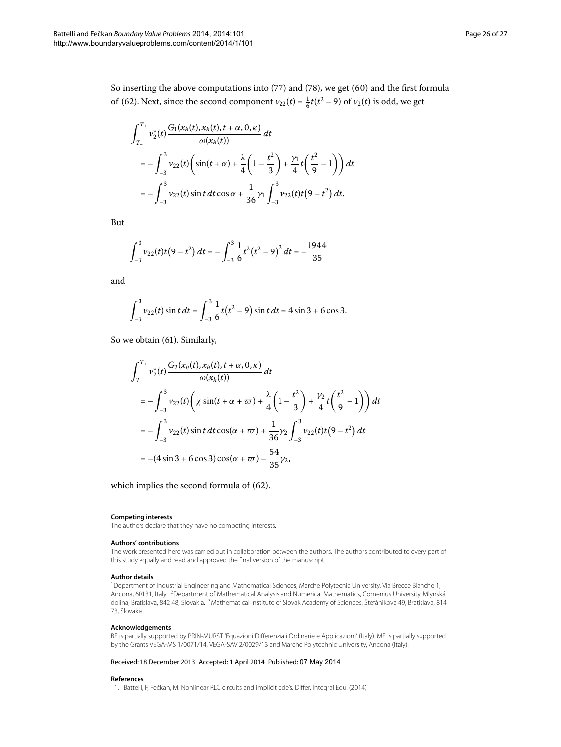So inserting the above computations into  $(77)$  $(77)$  and  $(78)$  $(78)$ , we get  $(60)$  and the first formula of (62). Next, since the second component  $v_{22}(t) = \frac{1}{6}t(t^2 - 9)$  of  $v_2(t)$  is odd, we get

$$
\int_{T_{-}}^{T_{+}} v_{2}^{*}(t) \frac{G_{1}(x_{h}(t), x_{h}(t), t + \alpha, 0, \kappa)}{\omega(x_{h}(t))} dt
$$
\n
$$
= -\int_{-3}^{3} v_{22}(t) \left( \sin(t + \alpha) + \frac{\lambda}{4} \left( 1 - \frac{t^{2}}{3} \right) + \frac{\gamma_{1}}{4} t \left( \frac{t^{2}}{9} - 1 \right) \right) dt
$$
\n
$$
= -\int_{-3}^{3} v_{22}(t) \sin t \, dt \cos \alpha + \frac{1}{36} \gamma_{1} \int_{-3}^{3} v_{22}(t) t (9 - t^{2}) \, dt.
$$

But

$$
\int_{-3}^{3} v_{22}(t)t(9-t^2) dt = -\int_{-3}^{3} \frac{1}{6}t^2(t^2-9)^2 dt = -\frac{1944}{35}
$$

and

$$
\int_{-3}^{3} v_{22}(t) \sin t \, dt = \int_{-3}^{3} \frac{1}{6} t(t^2 - 9) \sin t \, dt = 4 \sin 3 + 6 \cos 3.
$$

So we obtain (61). Similarly,

$$
\int_{T_{-}}^{T_{+}} v_{2}^{*}(t) \frac{G_{2}(x_{h}(t), x_{h}(t), t + \alpha, 0, \kappa)}{\omega(x_{h}(t))} dt
$$
\n
$$
= -\int_{-3}^{3} v_{22}(t) \left( \chi \sin(t + \alpha + \varpi) + \frac{\lambda}{4} \left( 1 - \frac{t^{2}}{3} \right) + \frac{\gamma_{2}}{4} t \left( \frac{t^{2}}{9} - 1 \right) \right) dt
$$
\n
$$
= -\int_{-3}^{3} v_{22}(t) \sin t \, dt \cos(\alpha + \varpi) + \frac{1}{36} \gamma_{2} \int_{-3}^{3} v_{22}(t) t \left( 9 - t^{2} \right) dt
$$
\n
$$
= -(4 \sin 3 + 6 \cos 3) \cos(\alpha + \varpi) - \frac{54}{35} \gamma_{2},
$$

<span id="page-25-0"></span>which implies the second formula of  $(62)$  $(62)$ .

#### <span id="page-25-2"></span><span id="page-25-1"></span>**Competing interests**

The authors declare that they have no competing interests.

#### **Authors' contributions**

The work presented here was carried out in collaboration between the authors. The authors contributed to every part of this study equally and read and approved the final version of the manuscript.

#### **Author details**

<span id="page-25-3"></span>1Department of Industrial Engineering and Mathematical Sciences, Marche Polytecnic University, Via Brecce Bianche 1, Ancona, 60131, Italy. 2Department of Mathematical Analysis and Numerical Mathematics, Comenius University, Mlynská dolina, Bratislava, 842 48, Slovakia. 3Mathematical Institute of Slovak Academy of Sciences, Štefánikova 49, Bratislava, 814 73, Slovakia.

#### **Acknowledgements**

BF is partially supported by PRIN-MURST 'Equazioni Differenziali Ordinarie e Applicazioni' (Italy). MF is partially supported by the Grants VEGA-MS 1/0071/14, VEGA-SAV 2/0029/13 and Marche Polytechnic University, Ancona (Italy).

#### Received: 18 December 2013 Accepted: 1 April 2014 Published: 07 May 2014

#### **References**

1. Battelli, F, Fečkan, M: Nonlinear RLC circuits and implicit ode's. Differ. Integral Equ. (2014)